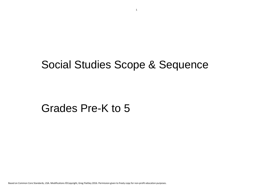1

Based on Common Core Standards, USA. Modifications ©Copyright, Greg Flattley 2016. Permission given to freely copy for non-profit education purposes.

# Social Studies Scope & Sequence

## Grades Pre-K to 5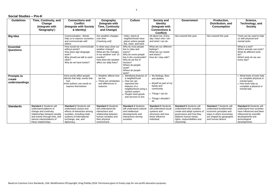### **Social Studies – Pre-K**

| <b>Guidelines</b>                             | <b>Time, Continuity, and</b><br>Change<br>(Integrate with<br>'Geography')                                                                                                                                 | <b>Connections and</b><br><b>Conflict</b><br>(Integrate with Society<br>& Identity)                                                                                                     | Geography<br>(Integrate with<br><b>Time, Continuity</b><br>and Change)                                                                                   | <b>Culture</b>                                                                                                                                                                               | <b>Society and</b><br><b>Identity</b><br>(Integrate with<br><b>Connections &amp;</b><br><b>Conflict)</b>                                   | <b>Government</b>                                                                                                                                                                             | Production,<br><b>Distribution, and</b><br><b>Consumption</b>                                                                                                     | Science,<br><b>Technology, and</b><br><b>Society</b>                                                                                                                      |
|-----------------------------------------------|-----------------------------------------------------------------------------------------------------------------------------------------------------------------------------------------------------------|-----------------------------------------------------------------------------------------------------------------------------------------------------------------------------------------|----------------------------------------------------------------------------------------------------------------------------------------------------------|----------------------------------------------------------------------------------------------------------------------------------------------------------------------------------------------|--------------------------------------------------------------------------------------------------------------------------------------------|-----------------------------------------------------------------------------------------------------------------------------------------------------------------------------------------------|-------------------------------------------------------------------------------------------------------------------------------------------------------------------|---------------------------------------------------------------------------------------------------------------------------------------------------------------------------|
| <b>Big Idea</b>                               |                                                                                                                                                                                                           | Communication: Words<br>help us to express ourselves<br>and communicate with<br>others.                                                                                                 | Our weather changes<br>over time.<br>[Yearlong unit]                                                                                                     | Cities, towns &<br>neighborhoods have<br>places where people<br>live, meet and work                                                                                                          | All about me. Every<br>day I learn who I am<br>and what I can do.                                                                          | Not covered this year                                                                                                                                                                         | Not covered this year                                                                                                                                             | Tools can be used to help<br>us with physical and<br>mental tasks                                                                                                         |
| <b>Essential</b><br><b>Questions</b>          |                                                                                                                                                                                                           | How would we communicate<br>without words?<br>How does sign language<br>work?<br>Why should we talk to each<br>other?<br>Why do we have books?                                          | In what ways does our<br>weather change?<br>What are the changes<br>in our weather over 10<br>months?<br>How does the weather<br>affect our daily lives? | Why do most people<br>live in cities and<br>towns?<br>Why do some people<br>live in the countryside?<br>Why do we live in<br>houses?<br>Where do people<br>meet?<br>Where do people<br>work? | What are our different<br>feelings?<br>What are our needs<br>and wants?<br>How do I stay safe?                                             |                                                                                                                                                                                               |                                                                                                                                                                   | What is a tool?<br>Which animals use tools?<br>What do different tools<br>do?<br>Which tools do we use<br>every day?                                                      |
| <b>Prompts to</b><br>create<br>understandings |                                                                                                                                                                                                           | •How words affect people<br>Words that help; words that<br>hurt<br>•How authors use words to<br>express themselves                                                                      | • Weather affects how<br>we live.<br>• There are similarities<br>and differences in<br>seasons.                                                          | Identifying features of<br>a neighborhood<br>How we can<br>represent the<br>features of a<br>neighborhood using a<br>symbol system<br>People need goods<br>and services to live.             | My feelings, likes<br>and dislikes<br>• Myself as part of my<br>family and<br>community<br>• Things I can do<br>• Things I shouldn't<br>do |                                                                                                                                                                                               |                                                                                                                                                                   | • What kinds of tools help<br>us complete physical or<br>mental tasks<br>• How tools help us<br>complete a physical or<br>mental task                                     |
| <b>Standards</b>                              | <b>Standard 1 Students will</b><br>understand patterns of<br>change and continuity,<br>relationships between people<br>and events through time, and<br>various interpretations of<br>these relationships. | <b>Standard 2 Students will</b><br>understand causes and<br>effects of interaction among<br>societies, including trade,<br>systems of international<br>exchange, war, and<br>diplomacy. | <b>Standard 3 Students</b><br>will understand the<br>interactions and<br>relationship between<br>human societies and<br>their physical<br>environment.   | <b>Standard 4 Students</b><br>will understand cultural<br>and intellectual<br>developments and<br>interactions among<br>societies.                                                           | <b>Standard 5 Students</b><br>will understand social<br>systems and<br>structures and how<br>these influence<br>individual.                | <b>Standard 6 Students will</b><br>understand why societies<br>create and adopt systems of<br>governance and how they<br>address human needs.<br>rights, responsibilities and<br>citizenship. | <b>Standard 7 Students will</b><br>understand fundamental<br>economic principles and<br>ways in which economies<br>are shaped by geographic<br>and human factors. | <b>Standard 8 Students will</b><br>understand how societies<br>have influenced and been<br>influenced by scientific<br>developments and<br>technological<br>developments. |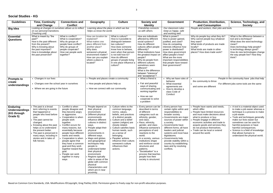### **Social Studies - KG**

| <b>Guidelines</b>                                                   | <b>Time, Continuity</b>                                                                                                                                                                                                                                                                                               | <b>Connections and</b>                                                                                                                                                                                                                                                                                                                                                                                                        | Geography                                                                                                                                                                                                                                                                                                                                                                                                                                                                                       | <b>Culture</b>                                                                                                                                                                                                                                                                                                                                                          | <b>Society and</b>                                                                                                                                                                                                                                                                                                                                                                                                                              | <b>Government</b>                                                                                                                                                                                                                                                                                                                                                                                   | <b>Production, Distribution,</b>                                                                                                                                                                                                                                                                                                         | Science, Technology, and                                                                                                                                                                                                                                                                                                                                               |
|---------------------------------------------------------------------|-----------------------------------------------------------------------------------------------------------------------------------------------------------------------------------------------------------------------------------------------------------------------------------------------------------------------|-------------------------------------------------------------------------------------------------------------------------------------------------------------------------------------------------------------------------------------------------------------------------------------------------------------------------------------------------------------------------------------------------------------------------------|-------------------------------------------------------------------------------------------------------------------------------------------------------------------------------------------------------------------------------------------------------------------------------------------------------------------------------------------------------------------------------------------------------------------------------------------------------------------------------------------------|-------------------------------------------------------------------------------------------------------------------------------------------------------------------------------------------------------------------------------------------------------------------------------------------------------------------------------------------------------------------------|-------------------------------------------------------------------------------------------------------------------------------------------------------------------------------------------------------------------------------------------------------------------------------------------------------------------------------------------------------------------------------------------------------------------------------------------------|-----------------------------------------------------------------------------------------------------------------------------------------------------------------------------------------------------------------------------------------------------------------------------------------------------------------------------------------------------------------------------------------------------|------------------------------------------------------------------------------------------------------------------------------------------------------------------------------------------------------------------------------------------------------------------------------------------------------------------------------------------|------------------------------------------------------------------------------------------------------------------------------------------------------------------------------------------------------------------------------------------------------------------------------------------------------------------------------------------------------------------------|
|                                                                     | and Change                                                                                                                                                                                                                                                                                                            | <b>Conflict</b>                                                                                                                                                                                                                                                                                                                                                                                                               |                                                                                                                                                                                                                                                                                                                                                                                                                                                                                                 |                                                                                                                                                                                                                                                                                                                                                                         | <b>Identity</b>                                                                                                                                                                                                                                                                                                                                                                                                                                 |                                                                                                                                                                                                                                                                                                                                                                                                     | and Consumption                                                                                                                                                                                                                                                                                                                          | <b>Society</b>                                                                                                                                                                                                                                                                                                                                                         |
| <b>Big Idea</b>                                                     | Looking at changes in ourselves allows us to reflect<br>on our personal transitions.                                                                                                                                                                                                                                  |                                                                                                                                                                                                                                                                                                                                                                                                                               | Learning about the place in which we live<br>helps us know the world.                                                                                                                                                                                                                                                                                                                                                                                                                           |                                                                                                                                                                                                                                                                                                                                                                         | Friendship connects<br>us with others.                                                                                                                                                                                                                                                                                                                                                                                                          | Our classroom rules<br>keep us happy, safe                                                                                                                                                                                                                                                                                                                                                          | People and workers, their jobs and tools.                                                                                                                                                                                                                                                                                                |                                                                                                                                                                                                                                                                                                                                                                        |
| <b>Essential</b><br><b>Questions</b>                                | [Yearlong unit]<br>What is meant by "the<br>past?'<br>How is the past different<br>from the present?<br>Why is knowing about<br>the past important?<br>How is knowledge about<br>the past preserved?                                                                                                                  | What is conflict?<br>What is cooperation?<br>Why do groups of<br>people have conflict?<br>Why do groups of<br>people cooperate?<br>How can people work<br>together?                                                                                                                                                                                                                                                           | How can location be<br>explained?<br>What makes one<br>place different from<br>another place?<br>Why does<br>someone's physical<br>environment matter?<br>How can you explain<br>where a place is<br>located?                                                                                                                                                                                                                                                                                   | What is culture?<br>How is it possible to<br>distinguish between<br>two cultures?<br>How does someone<br>know how to behave,<br>even when that person<br>is not told how to?<br>How do different<br>groups of people living<br>in one place influence a<br>culture?                                                                                                     | How are individuals<br>affected by different<br>social systems?<br>How do different<br>cultures affect people<br>differently?<br>What institutions have<br>the greatest impact on<br>people?<br>Why do people from<br>different cultures<br>sometimes seem<br>different?                                                                                                                                                                        | and working well.<br>What is power?<br>How is power gained,<br>justified, and used?<br>How do competing<br>interests influence how<br>power is distributed?<br>How does government<br>affect people's lives?<br>What are the more<br>important responsibilities<br>that people have toward<br>their government?                                                                                     | Why do people buy what they do?<br>Why cannot people buy whatever<br>they want?<br>What kinds of products are made<br>locally?<br>What kinds are made in other<br>places? How does trade work?                                                                                                                                           | What is the difference between a<br>tool and a technique?<br>What does the word technology<br>mean?<br>Does technology help people?<br>Is technology always good?<br>How do new technologies change<br>the way people live? How they<br>think?                                                                                                                         |
|                                                                     |                                                                                                                                                                                                                                                                                                                       |                                                                                                                                                                                                                                                                                                                                                                                                                               |                                                                                                                                                                                                                                                                                                                                                                                                                                                                                                 |                                                                                                                                                                                                                                                                                                                                                                         | What is the difference<br>between "tolerance"<br>and "acceptance"?                                                                                                                                                                                                                                                                                                                                                                              |                                                                                                                                                                                                                                                                                                                                                                                                     |                                                                                                                                                                                                                                                                                                                                          |                                                                                                                                                                                                                                                                                                                                                                        |
| <b>Prompts to</b>                                                   | • Changes in our lives                                                                                                                                                                                                                                                                                                |                                                                                                                                                                                                                                                                                                                                                                                                                               | • People and places create a community                                                                                                                                                                                                                                                                                                                                                                                                                                                          |                                                                                                                                                                                                                                                                                                                                                                         | • What a friend is                                                                                                                                                                                                                                                                                                                                                                                                                              | • Why we have rules of $\vert \cdot \vert$                                                                                                                                                                                                                                                                                                                                                          |                                                                                                                                                                                                                                                                                                                                          | People in the community have jobs that help                                                                                                                                                                                                                                                                                                                            |
| create                                                              | • Changes over the school year in ourselves                                                                                                                                                                                                                                                                           |                                                                                                                                                                                                                                                                                                                                                                                                                               | • How people and places help us                                                                                                                                                                                                                                                                                                                                                                                                                                                                 |                                                                                                                                                                                                                                                                                                                                                                         | • Fair and peaceful                                                                                                                                                                                                                                                                                                                                                                                                                             | behavior<br>• What essential                                                                                                                                                                                                                                                                                                                                                                        | the community to thrive                                                                                                                                                                                                                                                                                                                  | For different jobs some tools are the same                                                                                                                                                                                                                                                                                                                             |
| understandings                                                      | • Where we are going in the future                                                                                                                                                                                                                                                                                    |                                                                                                                                                                                                                                                                                                                                                                                                                               | • How we connect with our community                                                                                                                                                                                                                                                                                                                                                                                                                                                             |                                                                                                                                                                                                                                                                                                                                                                         | ways of sharing,<br>communicating and<br>working together                                                                                                                                                                                                                                                                                                                                                                                       | agreements are<br>• How to develop a<br>class Code of                                                                                                                                                                                                                                                                                                                                               | and some are different                                                                                                                                                                                                                                                                                                                   |                                                                                                                                                                                                                                                                                                                                                                        |
|                                                                     |                                                                                                                                                                                                                                                                                                                       |                                                                                                                                                                                                                                                                                                                                                                                                                               |                                                                                                                                                                                                                                                                                                                                                                                                                                                                                                 |                                                                                                                                                                                                                                                                                                                                                                         | • How we can<br>cooperate to solve<br>a problem                                                                                                                                                                                                                                                                                                                                                                                                 | Conduct                                                                                                                                                                                                                                                                                                                                                                                             |                                                                                                                                                                                                                                                                                                                                          |                                                                                                                                                                                                                                                                                                                                                                        |
| <b>Enduring</b><br><b>Understandings</b><br>(KG through<br>Grade 5) | The past is a broad<br>term referring to events<br>that happened or<br>people who lived before<br>now.<br>The past cannot be<br>changed.<br>Knowing about the past<br>helps us to understand<br>the present better.<br>The past is preserved in<br>many ways, including in<br>stories and in tales of<br>folk heroes. | • Conflict is when<br>people disagree and<br>they become angry<br>or aggressive.<br>Cooperation is when<br>people work<br>together.<br>• Conflict occurs for<br>many reasons, but<br>essentially because<br>people have different<br>wants and needs.<br>Cooperation is when<br>people agree that<br>they have a common<br>goal and they work<br>together toward that<br>goal.<br>People can work<br>together in many<br>ways | People depend on<br>their physical<br>environment.<br>Different physical<br>environments<br>influence different<br>cultures in distinct<br>ways.<br>People adapt their<br>physical<br>environments in<br>different ways.<br>Maps and globes<br>and geographical<br>techniques help<br>people to<br>understand better<br>their physical<br>environment.<br>Regions typically<br>refer to areas of the<br>globe with common<br>physical<br>characteristics and<br>which are in near<br>proximity. | Culture refers to the<br>common language,<br>norms, values,<br>beliefs, and practices<br>of a distinct people.<br>Culture and a belief<br>system (religion) are<br>closely related.<br>Culture satisfies basic<br>human needs, such<br>as a sense of<br>belonging.<br>Peoples' actions<br>influence their culture;<br>someone's culture<br>influences their<br>actions. | Every person can be<br>described in terms<br>of different<br>categories such as<br>ethnicity, gender,<br>and class.<br>• Race, ethnicity,<br>gender, and class<br>influence someone's<br>perceptions of and<br>reactions to the<br>world.<br>• In a society, various<br>institutions shape<br>and reinforce social<br>structures and<br>patterns.<br>"Socialization" is a<br>process that teaches<br>people how their<br>society is structured. | Every person has<br>certain rights within and<br>responsibilities to<br>broader society.<br>Governments are major<br>sources of power within<br>a society.<br>• Governments have<br>different forms; all have<br>leaders and judicial<br>systems and most have<br>legislatures.<br>Governments help<br>provide stability within a<br>country by establishing<br>laws and by resolving<br>conflicts. | • People have wants and needs,<br>which differ.<br>• People have limited resources<br>and must make decisions about<br>what to produce or buy.<br>People engage in different<br>economic activities and trade to<br>acquire goods and services they<br>do not produce themselves.<br>• Trade can be local or extend<br>around the world. | • A tool is a material object used<br>to make a job easier whereas a<br>technique is a process to make<br>a job easier.<br>Tools and techniques generally<br>make our lives easier but<br>sometimes can be used for<br>harmful purposes or have<br>harmful consequences.<br>Science is a field of knowledge<br>that allows humans to<br>understand the physical world. |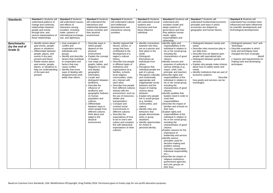| <b>Standards</b>                                | <b>Standard 1 Students will</b><br>understand patterns of<br>change and continuity,<br>relationships between<br>people and events<br>through time, and<br>various interpretations of<br>these relationships.                                                                                                     | <b>Standard 2 Students</b><br>will understand causes<br>and effects of<br>interaction among<br>societies, including<br>trade, systems of<br>international exchange,<br>war, and diplomacy.                                                                                                          | <b>Standard 3 Students</b><br>will understand the<br>interactions and<br>relationship between<br>human societies and<br>their physical<br>environment.                                                                                                                                                                                                                                                                                                                                                                                             | <b>Standard 4 Students</b><br>will understand cultural<br>and intellectual<br>developments and<br>interactions among<br>societies.                                                                                                                                                                                                                                                                                                                                                                                                                                                                                                                                                                                                      | <b>Standard 5 Students</b><br>will understand social<br>systems and<br>structures and how<br>these influence<br>individual.                                                                                                                                                                                                                                                                                                                                                                                                                                                                                                                                                  | <b>Standard 6 Students will</b><br>understand why<br>societies create and<br>adopt systems of<br>governance and how<br>they address human<br>needs, rights,<br>responsibilities and<br>citizenship.                                                                                                                                                                                                                                                                                                                                                                                                                                                                                                                                                                                                                                                                                                                                                                                                                                                                                                                                                                       | <b>Standard 7 Students will</b><br>understand fundamental economic<br>principles and ways in which<br>economies are shaped by<br>geographic and human factors.                                                                                                                                                                                                                                                                     | <b>Standard 8 Students will</b><br>understand how societies have<br>influenced and been influenced<br>by scientific developments and<br>technological developments.                                                                  |
|-------------------------------------------------|------------------------------------------------------------------------------------------------------------------------------------------------------------------------------------------------------------------------------------------------------------------------------------------------------------------|-----------------------------------------------------------------------------------------------------------------------------------------------------------------------------------------------------------------------------------------------------------------------------------------------------|----------------------------------------------------------------------------------------------------------------------------------------------------------------------------------------------------------------------------------------------------------------------------------------------------------------------------------------------------------------------------------------------------------------------------------------------------------------------------------------------------------------------------------------------------|-----------------------------------------------------------------------------------------------------------------------------------------------------------------------------------------------------------------------------------------------------------------------------------------------------------------------------------------------------------------------------------------------------------------------------------------------------------------------------------------------------------------------------------------------------------------------------------------------------------------------------------------------------------------------------------------------------------------------------------------|------------------------------------------------------------------------------------------------------------------------------------------------------------------------------------------------------------------------------------------------------------------------------------------------------------------------------------------------------------------------------------------------------------------------------------------------------------------------------------------------------------------------------------------------------------------------------------------------------------------------------------------------------------------------------|---------------------------------------------------------------------------------------------------------------------------------------------------------------------------------------------------------------------------------------------------------------------------------------------------------------------------------------------------------------------------------------------------------------------------------------------------------------------------------------------------------------------------------------------------------------------------------------------------------------------------------------------------------------------------------------------------------------------------------------------------------------------------------------------------------------------------------------------------------------------------------------------------------------------------------------------------------------------------------------------------------------------------------------------------------------------------------------------------------------------------------------------------------------------------|------------------------------------------------------------------------------------------------------------------------------------------------------------------------------------------------------------------------------------------------------------------------------------------------------------------------------------------------------------------------------------------------------------------------------------|--------------------------------------------------------------------------------------------------------------------------------------------------------------------------------------------------------------------------------------|
| <b>Benchmarks</b><br>(by the end of<br>Grade 2) | • Identify stories about<br>past events, people,<br>places or situations.<br>• Differentiate between<br>people, places, and<br>events in the past,<br>present and future.<br>• Relate stories about<br>past events, people,<br>places, or situations to<br>help our understanding<br>of the past and<br>present. | • Give examples of<br>conflict and<br>cooperation among<br>individuals and<br>groups.<br>• Identify and describe<br>factors that contribute<br>to cooperation and<br>factors that may<br>cause conflict.<br>Identify that some<br>ways of dealing with<br>disagreements work<br>better than others. | Describe ways in<br>which people<br>depend on the<br>physical<br>environment.<br>Explain the concept<br>of location.<br>Use maps and<br>graphs, tables, and<br>diagrams to read<br>and display<br>geographic<br>information.<br>• Locate and<br>distinguish between<br>landforms.<br>Describe the<br>influence of<br>landforms and<br>geographic features<br>on human<br>population and<br>cultures.<br>Differentiate<br>between ways in<br>which people from<br>different cultures<br>think about and<br>adapt to the<br>physical<br>environment. | · Identify regional folk<br>heroes, stories, or<br>songs that have<br>contributed to the<br>development of a<br>region's cultural<br>history.<br>Describe how people<br>in different types of<br>institutions and<br>organizations (e.g.<br>families, schools,<br>local religious<br>communities, clubs,<br>etc.) interact with<br>each other.<br>Describe how people<br>from different cultures<br>interact with the<br>environment, such as<br>the use of resources,<br>shelter and<br>transportation.<br>Compare and<br>contrast social<br>environments in<br>different cultures.<br>Describe the<br>expectations of how<br>to act in one's own<br>culture and compare<br>this with behavioral<br>expectations of other<br>cultures. | <b>Identify connections</b><br>between who they<br>are as a person and<br>their place in the<br>world.<br>• Distinguish<br>themselves as<br>individuals from<br>others.<br>• Recognize that<br>individual people are<br>part of a group.<br>• Recognize culturally<br>and contextually<br>appropriate and<br>inappropriate social<br>behavior and the<br>impact of making<br>choices about<br>behavior.<br>Explain why people<br>live in social groups<br>(e.g. families,<br>communities, and<br>nation).<br>• Identify roles and<br>behaviors that<br>people demonstrate<br>when in group<br>situations.<br>· Identify opportunities<br>for choice in<br>personal identity. | ·Identify rights and<br>responsibilities of the<br>individual in relation to<br>his or her social group,<br>including the<br>characteristics of good<br>citizens.<br>· Identify sources and<br>purposes of authority in<br>various settings (e.g.,<br>mayor, chief, ruler,<br>principal, and teacher).<br>•Describe rights and<br>responsibilities of the<br>individual in relation to<br>his or her social group,<br>including the<br>characteristics of good<br>citizens.<br>· Identify qualities that<br>leaders need in order to<br>meet their<br>responsibilities.<br>•Describe the impact of<br>families and schools on<br>their lives.<br>- Explain rights and<br>responsibilities of the<br>individual in relation to<br>his or her social group,<br>including the<br>characteristics of good<br>citizens.<br>• Explain reasons for the<br>importance of<br>leadership and service.<br>·Identify various<br>principles used for<br>decision-making and<br>problem solving<br>(fairness, cooperation,<br>individual responsibility,<br>etc.).<br>•Describe the impact of<br>religious institutions,<br>government agencies,<br>and civic groups on<br>their lives. | • Distinguish between needs and<br>wants.<br>• Describe roles resources play in<br>our daily lives.<br>• Describe how we depend upon<br>people with specialized jobs.<br>• Distinguish between goods and<br>services.<br>• Explain why people make choices<br>about how to satisfy wants and<br>needs.<br>• Identify institutions that are part of<br>economic systems.<br>Describe<br>how goods and services can be<br>exchanged. | Distinguish between "tool" and<br>"technique."<br>Describe examples in which<br>tools and techniques have<br>changed the lives of people.<br>Identif<br>y reasons and requirements for<br>making tools and developing<br>techniques. |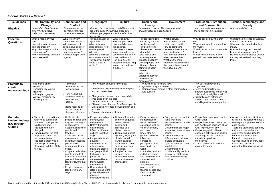### **Social Studies – Grade 1**

| <b>Guidelines</b>       | Time, Continuity, and                                   | <b>Connections and</b>                     | Geography                                  | <b>Culture</b>                                    | <b>Society and</b>                                           | <b>Government</b>                                     | <b>Production, Distribution,</b>                              | Science, Technology, and                                             |  |  |
|-------------------------|---------------------------------------------------------|--------------------------------------------|--------------------------------------------|---------------------------------------------------|--------------------------------------------------------------|-------------------------------------------------------|---------------------------------------------------------------|----------------------------------------------------------------------|--|--|
| <b>Big Idea</b>         | Change<br>Knowledge of one's family                     | <b>Conflict</b><br>Being aware of our      |                                            | Our lives have similarities and differences to    | <b>Identity</b><br>Being a good citizen. There are essential |                                                       | and Consumption<br>How communities are organised              | <b>Society</b><br>Not covered this year                              |  |  |
|                         | history helps people                                    | environment keeps                          | life in the past. The Earth is made up of  |                                                   | characteristics of a good citizen                            |                                                       | affects the way they function.                                |                                                                      |  |  |
|                         | understand themselves                                   | us safe and healthy.                       | people live.                               | different geographic forms that affect how        |                                                              |                                                       |                                                               |                                                                      |  |  |
| <b>Essential</b>        | What is meant by "the                                   | What is conflict?                          | How can location be                        | What is culture?                                  | How are individuals                                          | What is power?                                        | Why do people buy what they                                   | What is the difference between a                                     |  |  |
| <b>Questions</b>        | past?"                                                  | What is cooperation?                       | explained?                                 | How is it possible to                             | affected by different                                        | How is power gained,                                  | do?                                                           | tool and a technique?                                                |  |  |
|                         | How is the past different<br>from the present?          | Why do groups of<br>people have conflict?  | What makes one<br>place different from     | distinguish between<br>two cultures?              | social systems?<br>How do different                          | justified, and used?<br>How do competing              | Why cannot people buy whatever<br>they want?                  | What does the word technology<br>mean?                               |  |  |
|                         | Why is knowing about the                                | Why do groups of                           | another place?                             | How does someone                                  | cultures affect people                                       | interests influence how                               | What kinds of products are made                               | Does technology help people?                                         |  |  |
|                         | past important?<br>How is knowledge about the           | people cooperate?<br>How can people work   | Why does<br>someone's physical             | know how to behave,<br>even when that persor      | differently?<br>What institutions                            | power is distributed?<br>How does government          | locally?<br>What kinds are made in other                      | Is technology always good?<br>How do new technologies change         |  |  |
|                         | past preserved?                                         | together?                                  | environment matter?                        | is not told how to?                               | have the greatest                                            | affect people's lives?                                | places? How does trade work?                                  | the way people live? How they                                        |  |  |
|                         |                                                         |                                            | How can you explain                        | How do different                                  | impact on people?                                            | What are the more                                     |                                                               | think?                                                               |  |  |
|                         |                                                         |                                            | where a place is<br>located?               | groups of people living<br>in one place influence | Why do people from<br>different cultures                     | important responsibilities<br>that people have toward |                                                               |                                                                      |  |  |
|                         |                                                         |                                            |                                            | a culture?                                        | sometimes seem                                               | their government?                                     |                                                               |                                                                      |  |  |
|                         |                                                         |                                            |                                            |                                                   | different?<br>What is the                                    |                                                       |                                                               |                                                                      |  |  |
|                         |                                                         |                                            |                                            |                                                   | difference between                                           |                                                       |                                                               |                                                                      |  |  |
|                         |                                                         |                                            |                                            |                                                   | "tolerance" and<br>"acceptance"?                             |                                                       |                                                               |                                                                      |  |  |
| <b>Prompts to</b>       | The origins of my                                       | Having an                                  | How we learn about life in the past        |                                                   | • Why we need rules and laws                                 |                                                       | How our neighborhood is                                       |                                                                      |  |  |
| create                  | ancestors<br>Recording my family's                      | awareness of our<br>surroundings           |                                            | Connections exist between life in the past        | • Qualities of a good citizen                                | Comparison of groups in other communities             | organized<br>• Needs and importance of                        |                                                                      |  |  |
| understandings          | history in                                              |                                            | and our current lives                      |                                                   | and cultures                                                 |                                                       | different businesses and service                              |                                                                      |  |  |
|                         | writing/photographs                                     | • How we use our<br>senses to keep us      |                                            | Changes that have occurred in our daily           |                                                              |                                                       | buildings in a neighborhood<br>Similarities and differences   |                                                                      |  |  |
|                         | Ways of recording my<br>autobiography                   | stay safe and                              | lives since life in the past               |                                                   |                                                              |                                                       | between how neighborhoods                                     |                                                                      |  |  |
|                         |                                                         | healthy                                    | Different forms of land and water          | Different types of homes for different people     |                                                              |                                                       | and villages/cities are organized                             |                                                                      |  |  |
|                         |                                                         | Being responsible                          |                                            | Similarities/differences between urban and        |                                                              |                                                       |                                                               |                                                                      |  |  |
|                         |                                                         | for our safety and<br>the safety of others | rural life<br>Purpose of maps and globes   |                                                   |                                                              |                                                       |                                                               |                                                                      |  |  |
|                         |                                                         |                                            |                                            |                                                   |                                                              |                                                       |                                                               |                                                                      |  |  |
| <b>Enduring</b>         | • The past is a broad term<br>referring to events that  | Conflict is when<br>people disagree and    | People depend on<br>their physical         | • Culture refers to the<br>common language,       | Every person can<br>be described in                          | • Every person has certain<br>rights within and       | • People have wants and needs,<br>which differ.               | • A tool is a material object used<br>to make a job easier whereas a |  |  |
| <b>Understandings</b>   | happened or people who                                  | they become angry                          | environment.                               | norms, values,                                    | terms of different                                           |                                                       | responsibilities to broader   • People have limited resources | technique is a process to make                                       |  |  |
| (KG through<br>Grade 5) | lived before now.                                       | or aggressive.                             | • Different physical                       | beliefs, and                                      | categories such as                                           | society.                                              | and must make decisions about                                 | a job easier.                                                        |  |  |
|                         | • The past cannot be<br>changed.                        | Cooperation is when<br>people work         | environments<br>influence different        | practices of a<br>distinct people.                | ethnicity, gender,<br>and class.                             | • Governments are major<br>sources of power within a  | what to produce or buy.<br>People engage in different         | • Tools and techniques generally<br>make our lives easier but        |  |  |
|                         | • Knowing about the past                                | together.                                  | cultures in distinct                       | Culture and a belief                              | Race, ethnicity,                                             | society.                                              | economic activities and trade to                              | sometimes can be used for                                            |  |  |
|                         | helps us to understand<br>the present better.           | Conflict occurs for<br>many reasons, but   | ways.<br>People adapt their                | system (religion) are<br>closely related.         | gender, and class<br>influence                               | Governments have<br>different forms; all have         | acquire goods and services<br>they do not produce             | harmful purposes or have<br>harmful consequences.                    |  |  |
|                         | • The past is preserved in                              | essentially because                        | physical                                   | • Culture satisfies                               | someone's                                                    | leaders and judicial                                  | themselves.                                                   | • Science is a field of knowledge                                    |  |  |
|                         | many ways, including in<br>stories and in tales of folk | people have<br>different wants and         | environments in<br>different ways.         | basic human needs,<br>such as a sense of          | perceptions of and<br>reactions to the                       | systems and most have<br>legislatures.                | • Trade can be local or extend<br>around the world.           | that allows humans to<br>understand the physical world.              |  |  |
|                         | heroes.                                                 | needs.                                     | • Maps and globes                          | belonging.                                        | world.                                                       | · Governments help                                    |                                                               |                                                                      |  |  |
|                         |                                                         | Cooperation is when                        | and geographical                           | • Peoples' actions                                | In a society, various                                        | provide stability within a                            |                                                               |                                                                      |  |  |
|                         |                                                         | people agree that<br>they have a common    | techniques help<br>people to               | influence their<br>culture; someone's             | institutions shape<br>and reinforce social                   | country by establishing<br>laws and by resolving      |                                                               |                                                                      |  |  |
|                         |                                                         | goal and they work                         | understand better                          | culture influences                                | structures and                                               | conflicts.                                            |                                                               |                                                                      |  |  |
|                         |                                                         | together toward that<br>goal.              | their physical<br>environment.             | their actions.                                    | patterns.<br>"Socialization" is a                            |                                                       |                                                               |                                                                      |  |  |
|                         |                                                         | People can work                            | • Regions typically                        |                                                   | process that                                                 |                                                       |                                                               |                                                                      |  |  |
|                         |                                                         | together in many<br>ways                   | refer to areas of the<br>globe with common |                                                   | teaches people how<br>their society is                       |                                                       |                                                               |                                                                      |  |  |
|                         |                                                         |                                            | physical                                   |                                                   | structured.                                                  |                                                       |                                                               |                                                                      |  |  |
|                         |                                                         |                                            | characteristics and                        |                                                   |                                                              |                                                       |                                                               |                                                                      |  |  |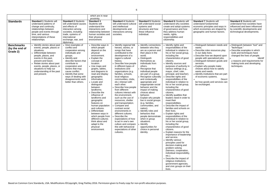**Standards** 

|                                                 |                                                                                                                                                                                                                                                                                                             |                                                                                                                                                                                                                                                                                                          | which are in near<br>proximity.                                                                                                                                                                                                                                                                                                                                                                                                                                                                                                                                    |                                                                                                                                                                                                                                                                                                                                                                                                                                                                                                                                                                                                                                                                                                                                         |                                                                                                                                                                                                                                                                                                                                                                                                                                                                                                                                                                                                                                                                |                                                                                                                                                                                                                                                                                                                                                                                                                                                                                                                                                                                                                                                                                                                                                                                                                                                                                                                                                                                                                                                                                                                                                                                  |                                                                                                                                                                                                                                                                                                                                                                                                                                     |                                                                                                                                                                                                                                      |
|-------------------------------------------------|-------------------------------------------------------------------------------------------------------------------------------------------------------------------------------------------------------------------------------------------------------------------------------------------------------------|----------------------------------------------------------------------------------------------------------------------------------------------------------------------------------------------------------------------------------------------------------------------------------------------------------|--------------------------------------------------------------------------------------------------------------------------------------------------------------------------------------------------------------------------------------------------------------------------------------------------------------------------------------------------------------------------------------------------------------------------------------------------------------------------------------------------------------------------------------------------------------------|-----------------------------------------------------------------------------------------------------------------------------------------------------------------------------------------------------------------------------------------------------------------------------------------------------------------------------------------------------------------------------------------------------------------------------------------------------------------------------------------------------------------------------------------------------------------------------------------------------------------------------------------------------------------------------------------------------------------------------------------|----------------------------------------------------------------------------------------------------------------------------------------------------------------------------------------------------------------------------------------------------------------------------------------------------------------------------------------------------------------------------------------------------------------------------------------------------------------------------------------------------------------------------------------------------------------------------------------------------------------------------------------------------------------|----------------------------------------------------------------------------------------------------------------------------------------------------------------------------------------------------------------------------------------------------------------------------------------------------------------------------------------------------------------------------------------------------------------------------------------------------------------------------------------------------------------------------------------------------------------------------------------------------------------------------------------------------------------------------------------------------------------------------------------------------------------------------------------------------------------------------------------------------------------------------------------------------------------------------------------------------------------------------------------------------------------------------------------------------------------------------------------------------------------------------------------------------------------------------------|-------------------------------------------------------------------------------------------------------------------------------------------------------------------------------------------------------------------------------------------------------------------------------------------------------------------------------------------------------------------------------------------------------------------------------------|--------------------------------------------------------------------------------------------------------------------------------------------------------------------------------------------------------------------------------------|
| <b>Standards</b>                                | <b>Standard 1 Students will</b><br>understand patterns of<br>change and continuity,<br>relationships between<br>people and events through<br>time, and various<br>interpretations of these<br>relationships.                                                                                                | <b>Standard 2 Students</b><br>will understand causes<br>and effects of<br>interaction among<br>societies, including<br>trade, systems of<br>international<br>exchange, war, and<br>diplomacy.                                                                                                            | <b>Standard 3</b><br>Students will<br>understand the<br>interactions and<br>relationship between<br>human societies and<br>their physical<br>environment.                                                                                                                                                                                                                                                                                                                                                                                                          | <b>Standard 4 Students</b><br>will understand cultural<br>and intellectual<br>developments and<br>interactions among<br>societies.                                                                                                                                                                                                                                                                                                                                                                                                                                                                                                                                                                                                      | <b>Standard 5 Students</b><br>will understand social<br>systems and<br>structures and how<br>these influence<br>individual.                                                                                                                                                                                                                                                                                                                                                                                                                                                                                                                                    | <b>Standard 6 Students will</b><br>understand why societies<br>create and adopt systems<br>of governance and how<br>they address human<br>needs, rights,<br>responsibilities and<br>citizenship.                                                                                                                                                                                                                                                                                                                                                                                                                                                                                                                                                                                                                                                                                                                                                                                                                                                                                                                                                                                 | <b>Standard 7 Students will</b><br>understand fundamental<br>economic principles and ways in<br>which economies are shaped by<br>geographic and human factors.                                                                                                                                                                                                                                                                      | <b>Standard 8 Students will</b><br>understand how societies have<br>influenced and been influenced<br>by scientific developments and<br>technological developments.                                                                  |
| <b>Benchmarks</b><br>(by the end of<br>Grade 2) | Identify stories about past<br>events, people, places or<br>situations.<br>• Differentiate between<br>people, places, and<br>events in the past,<br>present and future.<br>• Relate stories about past<br>events, people, places, or<br>situations to help our<br>understanding of the past<br>and present. | • Give examples of<br>conflict and<br>cooperation among<br>individuals and<br>groups.<br>• Identify and<br>describe factors that<br>contribute to<br>cooperation and<br>factors that may<br>cause conflict.<br>• Identify that some<br>ways of dealing with<br>disagreements work<br>better than others. | • Describe ways in<br>which people<br>depend on the<br>physical<br>environment.<br>• Explain the<br>concept of<br>location.<br>• Use maps and<br>graphs, tables,<br>and diagrams to<br>read and display<br>geographic<br>information.<br>• Locate and<br>distinguish<br>between<br>landforms.<br>• Describe the<br>influence of<br>landforms and<br>geographic<br>features on<br>human population<br>and cultures.<br>• Differentiate<br>between ways in<br>which people from<br>different cultures<br>think about and<br>adapt to the<br>physical<br>environment. | · Identify regional folk<br>heroes, stories, or<br>songs that have<br>contributed to the<br>development of a<br>region's cultural<br>history.<br>Describe how people<br>in different types of<br>institutions and<br>organizations (e.g.<br>families, schools,<br>local religious<br>communities, clubs,<br>etc.) interact with<br>each other.<br>Describe how people<br>from different<br>cultures interact with<br>the environment,<br>such as the use of<br>resources, shelter<br>and transportation.<br>Compare and<br>contrast social<br>environments in<br>different cultures.<br>Describe the<br>expectations of how<br>to act in one's own<br>culture and compare<br>this with behavioral<br>expectations of other<br>cultures. | Identify connections<br>between who they<br>are as a person and<br>their place in the<br>world.<br>Distinguish<br>themselves as<br>individuals from<br>others.<br>Recognize that<br>individual people<br>are part of a group.<br>Recognize culturally<br>and contextually<br>appropriate and<br>inappropriate social<br>behavior and the<br>impact of making<br>choices about<br>behavior.<br>Explain why people<br>live in social groups<br>(e.g. families,<br>communities, and<br>nation).<br>Identify roles and<br>behaviors that<br>people demonstrate<br>when in group<br>situations.<br>Identify<br>opportunities for<br>choice in personal<br>identity. | • Identify rights and<br>responsibilities of the<br>individual in relation to<br>his or her social group,<br>including the<br>characteristics of good<br>citizens.<br>· Identify sources and<br>purposes of authority in<br>various settings (e.g.,<br>mayor, chief, ruler,<br>principal, and teacher).<br>Describe rights and<br>responsibilities of the<br>individual in relation to<br>his or her social group,<br>including the<br>characteristics of good<br>citizens.<br>• Identify qualities that<br>leaders need in order to<br>meet their<br>responsibilities.<br>Describe the impact of<br>families and schools on<br>their lives.<br>• Explain rights and<br>responsibilities of the<br>individual in relation to<br>his or her social group,<br>including the<br>characteristics of good<br>citizens.<br><b>Explain reasons for the</b><br>importance of leadership<br>and service.<br>• Identify various<br>principles used for<br>decision-making and<br>problem solving<br>(fairness, cooperation,<br>individual responsibility,<br>$etc.$ ).<br>Describe the impact of<br>religious institutions,<br>government agencies,<br>and civic groups on their<br>lives. | • Distinguish between needs and<br>wants.<br>• Describe roles resources play<br>in our daily lives.<br>• Describe how we depend upon<br>people with specialized jobs.<br>• Distinguish between goods and<br>services.<br>• Explain why people make<br>choices about how to satisfy<br>wants and needs.<br>• Identify institutions that are part<br>of economic systems.<br>Descri<br>be how goods and services can<br>be exchanged. | Distinguish between "tool" and<br>"technique."<br>Describe examples in which<br>tools and techniques have<br>changed the lives of people.<br>Identif<br>y reasons and requirements for<br>making tools and developing<br>techniques. |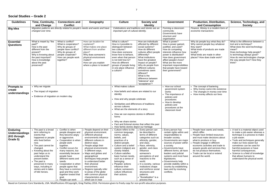### **Social Studies – Grade 2**

| <b>Guidelines</b>                                                   | Time, Continuity,<br>and Change                                                                                                                                                                                                                                                                                                        | <b>Connections and</b><br><b>Conflict</b>                                                                                                                                                                                                                                                                                                                                                            | Geography                                                                                                                                                                                                                                                                                                                                                                                                                                                          | <b>Culture</b>                                                                                                                                                                                                                                                                                                                                                                     | <b>Society and</b><br><b>Identity</b>                                                                                                                                                                                                                                                                                                                                                        | <b>Government</b>                                                                                                                                                                                                                                                                                                                                                                                            | <b>Production, Distribution,</b><br>and Consumption                                                                                                                                                                                                                                                                                      | Science, Technology, and<br><b>Society</b>                                                                                                                                                                                                                                                                                                                               |
|---------------------------------------------------------------------|----------------------------------------------------------------------------------------------------------------------------------------------------------------------------------------------------------------------------------------------------------------------------------------------------------------------------------------|------------------------------------------------------------------------------------------------------------------------------------------------------------------------------------------------------------------------------------------------------------------------------------------------------------------------------------------------------------------------------------------------------|--------------------------------------------------------------------------------------------------------------------------------------------------------------------------------------------------------------------------------------------------------------------------------------------------------------------------------------------------------------------------------------------------------------------------------------------------------------------|------------------------------------------------------------------------------------------------------------------------------------------------------------------------------------------------------------------------------------------------------------------------------------------------------------------------------------------------------------------------------------|----------------------------------------------------------------------------------------------------------------------------------------------------------------------------------------------------------------------------------------------------------------------------------------------------------------------------------------------------------------------------------------------|--------------------------------------------------------------------------------------------------------------------------------------------------------------------------------------------------------------------------------------------------------------------------------------------------------------------------------------------------------------------------------------------------------------|------------------------------------------------------------------------------------------------------------------------------------------------------------------------------------------------------------------------------------------------------------------------------------------------------------------------------------------|--------------------------------------------------------------------------------------------------------------------------------------------------------------------------------------------------------------------------------------------------------------------------------------------------------------------------------------------------------------------------|
| <b>Big Idea</b>                                                     | Migration patterns are directly related to people's needs and wants and have<br>changed over time.                                                                                                                                                                                                                                     |                                                                                                                                                                                                                                                                                                                                                                                                      |                                                                                                                                                                                                                                                                                                                                                                                                                                                                    | Celebrations and traditions and stories are an<br>important part of cultural identity.                                                                                                                                                                                                                                                                                             |                                                                                                                                                                                                                                                                                                                                                                                              | Forming a classroom<br>community.<br>Governments have<br>structure and<br>organisation                                                                                                                                                                                                                                                                                                                       | Finance. Money is a modern form of<br>economic transactions                                                                                                                                                                                                                                                                              |                                                                                                                                                                                                                                                                                                                                                                          |
| <b>Essential</b><br><b>Questions</b>                                | What is meant by "the<br>past?"<br>How is the past<br>different from the<br>present?<br>Why is knowing about<br>the past important?<br>How is knowledge<br>about the past<br>preserved?                                                                                                                                                | What is conflict?<br>What is cooperation?<br>Why do groups of<br>people have conflict?<br>Why do groups of<br>people cooperate?<br>How can people work<br>together?                                                                                                                                                                                                                                  | How can location be<br>explained?<br>What makes one place<br>different from another<br>place?<br>Why does someone's<br>physical environment<br>matter?<br>How can you explain<br>where a place is located?                                                                                                                                                                                                                                                         | What is culture?<br>How is it possible to<br>distinguish between<br>two cultures?<br>How does someone<br>know how to behave,<br>even when that person<br>is not told how to?<br>How do different<br>groups of people living<br>in one place influence<br>a culture?                                                                                                                | How are individuals<br>affected by different<br>social systems?<br>How do different<br>cultures affect people<br>differently?<br>What institutions<br>have the greatest<br>impact on people?<br>Why do people from<br>different cultures<br>sometimes seem<br>different?<br>What is the<br>difference between<br>"tolerance" and<br>"acceptance"?                                            | What is power?<br>How is power gained,<br>justified, and used?<br>How do competing<br>interests influence how<br>power is distributed?<br>How does government<br>affect people's lives?<br>What are the more<br>important responsibilities<br>that people have toward<br>their government?                                                                                                                   | Why do people buy what they do?<br>Why cannot people buy whatever<br>they want?<br>What kinds of products are made<br>locally?<br>What kinds are made in other<br>places? How does trade work?                                                                                                                                           | What is the difference between a<br>tool and a technique?<br>What does the word technology<br>mean?<br>Does technology help people?<br>Is technology always good?<br>How do new technologies change<br>the way people live? How they<br>think?                                                                                                                           |
| <b>Prompts to</b><br>create<br>understandings                       | • Why we migrate<br>• The impact of migration<br>• Evidence of migration on modern day                                                                                                                                                                                                                                                 |                                                                                                                                                                                                                                                                                                                                                                                                      | What makes culture<br>How beliefs and values are related to our<br>identity<br>How and why people celebrate<br>Similarities and differences of traditions<br>across cultures<br>• What are the elements of a story<br>How we can express stories in different<br>forms<br>• Why we share stories<br>• Fact and fictional stories that reflect the past                                                                                                             |                                                                                                                                                                                                                                                                                                                                                                                    | • How our school<br>government system<br>works<br>• The importance of<br>policies and<br>procedures<br>• How to develop<br>policies and<br>procedures at the<br>classroom level                                                                                                                                                                                                              | • The concept of bartering<br>• Why money came into existence<br>• The changes in money over time<br>• How money affects our lives                                                                                                                                                                                                                                                                           |                                                                                                                                                                                                                                                                                                                                          |                                                                                                                                                                                                                                                                                                                                                                          |
| <b>Enduring</b><br><b>Understandings</b><br>(KG through<br>Grade 5) | • The past is a broad<br>term referring to<br>events that<br>happened or people<br>who lived before<br>now.<br>• The past cannot be<br>changed.<br>• Knowing about the<br>past helps us to<br>understand the<br>present better.<br>• The past is<br>preserved in many<br>ways, including in<br>stories and in tales<br>of folk heroes. | Conflict is when<br>people disagree and<br>they become angry<br>or aggressive.<br>• Cooperation is when<br>people work<br>together.<br>• Conflict occurs for<br>many reasons, but<br>essentially because<br>people have<br>different wants and<br>needs.<br>Cooperation is when<br>people agree that<br>they have a common<br>goal and they work<br>together toward that<br>goal.<br>People can work | People depend on their<br>physical environment.<br>Different physical<br>environments influence<br>different cultures in<br>distinct ways.<br>People adapt their<br>physical environments<br>in different ways.<br>Maps and globes and<br>geographical<br>techniques help people<br>to understand better<br>their physical<br>environment.<br>Regions typically refer<br>to areas of the globe<br>with common physical<br>characteristics and<br>which are in near | • Culture refers to the<br>common language,<br>norms, values,<br>beliefs, and<br>practices of a<br>distinct people.<br>• Culture and a belief<br>system (religion) are<br>closely related.<br>• Culture satisfies<br>basic human needs,<br>such as a sense of<br>belonging.<br>• Peoples' actions<br>influence their<br>culture; someone's<br>culture influences<br>their actions. | • Every person can<br>be described in<br>terms of different<br>categories such as<br>ethnicity, gender,<br>and class.<br>Race, ethnicity,<br>gender, and class<br>influence<br>someone's<br>perceptions of and<br>reactions to the<br>world.<br>• In a society, various<br>institutions shape<br>and reinforce social<br>structures and<br>patterns.<br>"Socialization" is a<br>process that | • Every person has<br>certain rights within and<br>responsibilities to<br>broader society.<br>Governments are major<br>sources of power within<br>a society.<br><b>Governments have</b><br>different forms; all have<br>leaders and judicial<br>systems and most have<br>legislatures.<br>• Governments help<br>provide stability within a<br>country by establishing<br>laws and by resolving<br>conflicts. | • People have wants and needs,<br>which differ.<br>• People have limited resources<br>and must make decisions about<br>what to produce or buy.<br>People engage in different<br>economic activities and trade to<br>acquire goods and services they<br>do not produce themselves.<br>• Trade can be local or extend<br>around the world. | • A tool is a material object used<br>to make a job easier whereas a<br>technique is a process to make<br>a job easier.<br>• Tools and techniques generally<br>make our lives easier but<br>sometimes can be used for<br>harmful purposes or have<br>harmful consequences.<br>Science is a field of knowledge<br>that allows humans to<br>understand the physical world. |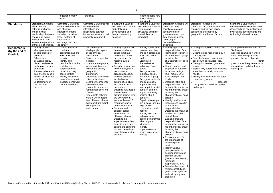together in many

|                                                 |                                                                                                                                                                                                                                                                                                                           | ways                                                                                                                                                                                                                                                                                                     |                                                                                                                                                                                                                                                                                                                                                                                                                                                                                                                                         |                                                                                                                                                                                                                                                                                                                                                                                                                                                                                                                                                                                                                                                                                                                                               | their society is<br>structured.                                                                                                                                                                                                                                                                                                                                                                                                                                                                                                                                                                                                                                        |                                                                                                                                                                                                                                                                                                                                                                                                                                                                                                                                                                                                                                                                                                                                                                                                                                                                                                                                                                                                                                                                                                                                                                  |                                                                                                                                                                                                                                                                |
|-------------------------------------------------|---------------------------------------------------------------------------------------------------------------------------------------------------------------------------------------------------------------------------------------------------------------------------------------------------------------------------|----------------------------------------------------------------------------------------------------------------------------------------------------------------------------------------------------------------------------------------------------------------------------------------------------------|-----------------------------------------------------------------------------------------------------------------------------------------------------------------------------------------------------------------------------------------------------------------------------------------------------------------------------------------------------------------------------------------------------------------------------------------------------------------------------------------------------------------------------------------|-----------------------------------------------------------------------------------------------------------------------------------------------------------------------------------------------------------------------------------------------------------------------------------------------------------------------------------------------------------------------------------------------------------------------------------------------------------------------------------------------------------------------------------------------------------------------------------------------------------------------------------------------------------------------------------------------------------------------------------------------|------------------------------------------------------------------------------------------------------------------------------------------------------------------------------------------------------------------------------------------------------------------------------------------------------------------------------------------------------------------------------------------------------------------------------------------------------------------------------------------------------------------------------------------------------------------------------------------------------------------------------------------------------------------------|------------------------------------------------------------------------------------------------------------------------------------------------------------------------------------------------------------------------------------------------------------------------------------------------------------------------------------------------------------------------------------------------------------------------------------------------------------------------------------------------------------------------------------------------------------------------------------------------------------------------------------------------------------------------------------------------------------------------------------------------------------------------------------------------------------------------------------------------------------------------------------------------------------------------------------------------------------------------------------------------------------------------------------------------------------------------------------------------------------------------------------------------------------------|----------------------------------------------------------------------------------------------------------------------------------------------------------------------------------------------------------------------------------------------------------------|
| <b>Standards</b>                                | <b>Standard 1 Students</b><br>will understand<br>patterns of change<br>and continuity,<br>relationships between<br>people and events<br>through time, and<br>various interpretations<br>of these relationships.                                                                                                           | <b>Standard 2 Students</b><br>will understand causes<br>and effects of<br>interaction among<br>societies, including<br>trade, systems of<br>international<br>exchange, war, and<br>diplomacy.                                                                                                            | <b>Standard 3 Students will</b><br>understand the<br>interactions and<br>relationship between<br>human societies and their<br>physical environment.                                                                                                                                                                                                                                                                                                                                                                                     | <b>Standard 4 Students</b><br>will understand cultural<br>and intellectual<br>developments and<br>interactions among<br>societies.                                                                                                                                                                                                                                                                                                                                                                                                                                                                                                                                                                                                            | <b>Standard 5 Students</b><br>will understand social<br>systems and<br>structures and how<br>these influence<br>individual.                                                                                                                                                                                                                                                                                                                                                                                                                                                                                                                                            | <b>Standard 6 Students will</b><br>understand why<br>societies create and<br>adopt systems of<br>governance and how<br>they address human<br>needs, rights,<br>responsibilities and<br>citizenship.                                                                                                                                                                                                                                                                                                                                                                                                                                                                                                                                                                                                                                                                                                                                                                                                                                                                                                                                                              | <b>Standard 7 Stud</b><br>understand fund<br>principles and w<br>economies are s<br>geographic and                                                                                                                                                             |
| <b>Benchmarks</b><br>(by the end of<br>Grade 2) | • Identify stories<br>about past events,<br>people, places or<br>situations.<br>• Differentiate<br>between people,<br>places, and events<br>in the past, present<br>and future.<br>• Relate stories about<br>past events, people,<br>places, or situations<br>to help our<br>understanding of<br>the past and<br>present. | • Give examples of<br>conflict and<br>cooperation among<br>individuals and<br>groups.<br>• Identify and<br>describe factors that<br>contribute to<br>cooperation and<br>factors that may<br>cause conflict.<br>• Identify that some<br>ways of dealing with<br>disagreements work<br>better than others. | • Describe ways in<br>which people depend<br>on the physical<br>environment.<br>• Explain the concept of<br>location.<br>• Use maps and graphs,<br>tables, and diagrams<br>to read and display<br>geographic<br>information.<br>• Locate and distinguish<br>between landforms.<br>• Describe the influence<br>of landforms and<br>geographic features on<br>human population and<br>cultures.<br>• Differentiate between<br>ways in which people<br>from different cultures<br>think about and adapt<br>to the physical<br>environment. | • Identify regional folk<br>heroes, stories, or<br>songs that have<br>contributed to the<br>development of a<br>region's cultural<br>history.<br>Describe how people<br>in different types of<br>institutions and<br>organizations (e.g.<br>families, schools,<br>local religious<br>communities, clubs,<br>etc.) interact with<br>each other.<br>• Describe how people<br>from different<br>cultures interact with<br>the environment,<br>such as the use of<br>resources, shelter<br>and transportation.<br>• Compare and<br>contrast social<br>environments in<br>different cultures.<br>• Describe the<br>expectations of how<br>to act in one's own<br>culture and compare<br>this with behavioral<br>expectations of other<br>cultures. | Identify connections<br>between who they<br>are as a person and<br>their place in the<br>world.<br>• Distinguish<br>themselves as<br>individuals from<br>others.<br>• Recognize that<br>individual people<br>are part of a group.<br>• Recognize culturally<br>and contextually<br>appropriate and<br>inappropriate social<br>behavior and the<br>impact of making<br>choices about<br>behavior.<br>Explain why people<br>live in social groups<br>(e.g. families,<br>communities, and<br>nation).<br>• Identify roles and<br>behaviors that<br>people demonstrate<br>when in group<br>situations.<br>Identify<br>opportunities for<br>choice in personal<br>identity. | • Identify rights and<br>responsibilities of the<br>individual in relation to<br>his or her social group,<br>including the<br>characteristics of good<br>citizens.<br>· Identify sources and<br>purposes of authority<br>in various settings<br>(e.g., mayor, chief,<br>ruler, principal, and<br>teacher).<br>• Describe rights and<br>responsibilities of the<br>individual in relation to<br>his or her social group,<br>including the<br>characteristics of good<br>citizens.<br>Identify qualities that<br>leaders need in order<br>to meet their<br>responsibilities.<br>• Describe the impact of<br>families and schools<br>on their lives.<br>Explain rights and<br>responsibilities of the<br>individual in relation to<br>his or her social group,<br>including the<br>characteristics of good<br>citizens.<br>• Explain reasons for<br>the importance of<br>leadership and<br>service.<br>• Identify various<br>principles used for<br>decision-making and<br>problem solving<br>(fairness, cooperation,<br>individual<br>responsibility, etc.).<br>• Describe the impact of<br>religious institutions,<br>government agencies,<br>and civic groups on | • Distinguish be<br>wants.<br>• Describe roles<br>our daily lives.<br>• Describe how<br>people with sp<br>• Distinguish be<br>services.<br>• Explain why po<br>about how to s<br>needs.<br>• Identify institut<br>economic syst<br>how goods and<br>exchanged. |

| <b>Standard 7 Students will</b><br>understand fundamental economic<br>principles and ways in which<br>economies are shaped by<br>geographic and human factors.                                                                                                                                                                                                                                                                     | <b>Standard 8 Students will</b><br>understand how societies have<br>influenced and been influenced<br>by scientific developments and<br>technological developments.                                                                      |
|------------------------------------------------------------------------------------------------------------------------------------------------------------------------------------------------------------------------------------------------------------------------------------------------------------------------------------------------------------------------------------------------------------------------------------|------------------------------------------------------------------------------------------------------------------------------------------------------------------------------------------------------------------------------------------|
| • Distinguish between needs and<br>wants.<br>• Describe roles resources play in<br>our daily lives.<br>• Describe how we depend upon<br>people with specialized jobs.<br>• Distinguish between goods and<br>services.<br>• Explain why people make choices<br>about how to satisfy wants and<br>needs.<br>• Identify institutions that are part of<br>economic systems.<br>Describe<br>how goods and services can be<br>exchanged. | • Distinguish between "tool" and<br>"technique."<br>• Describe examples in which<br>tools and techniques have<br>changed the lives of people.<br>Identif<br>y reasons and requirements for<br>making tools and developing<br>techniques. |

their lives.

proximity. The settle proximity.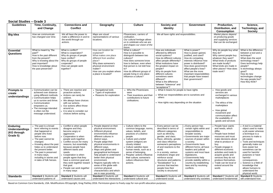| Social Studies - Grade 3 |  |  |
|--------------------------|--|--|
|--------------------------|--|--|

| <b>Guidelines</b>                                                   | Time, Continuity,<br>and Change                                                                                                                                                                                                                                                                                               | <b>Connections and</b><br><b>Conflict</b>                                                                                                                                                                                                                                                                                                                                                                            | Geography                                                                                                                                                                                                                                                                                                                                                                                                                                                                    | <b>Culture</b>                                                                                                                                                                                                                                                                                                                                                            | <b>Society and</b><br><b>Identity</b>                                                                                                                                                                                                                                                                                                                                                                                                      | <b>Government</b>                                                                                                                                                                                                                                                                                                                                                                                     | Production,<br>Distribution, and<br><b>Consumption</b>                                                                                                                                                                                                                                                                                                     | Science,<br>Technology, and<br><b>Society</b>                                                                                                                                                                                                                                                                                                                                                 |
|---------------------------------------------------------------------|-------------------------------------------------------------------------------------------------------------------------------------------------------------------------------------------------------------------------------------------------------------------------------------------------------------------------------|----------------------------------------------------------------------------------------------------------------------------------------------------------------------------------------------------------------------------------------------------------------------------------------------------------------------------------------------------------------------------------------------------------------------|------------------------------------------------------------------------------------------------------------------------------------------------------------------------------------------------------------------------------------------------------------------------------------------------------------------------------------------------------------------------------------------------------------------------------------------------------------------------------|---------------------------------------------------------------------------------------------------------------------------------------------------------------------------------------------------------------------------------------------------------------------------------------------------------------------------------------------------------------------------|--------------------------------------------------------------------------------------------------------------------------------------------------------------------------------------------------------------------------------------------------------------------------------------------------------------------------------------------------------------------------------------------------------------------------------------------|-------------------------------------------------------------------------------------------------------------------------------------------------------------------------------------------------------------------------------------------------------------------------------------------------------------------------------------------------------------------------------------------------------|------------------------------------------------------------------------------------------------------------------------------------------------------------------------------------------------------------------------------------------------------------------------------------------------------------------------------------------------------------|-----------------------------------------------------------------------------------------------------------------------------------------------------------------------------------------------------------------------------------------------------------------------------------------------------------------------------------------------------------------------------------------------|
| <b>Big Idea</b>                                                     | How we communicate<br>has changed over time.                                                                                                                                                                                                                                                                                  | We all have the power to<br>make a difference in and to<br>the world through our<br>actions.                                                                                                                                                                                                                                                                                                                         | Maps are visual<br>representations of various<br>locations.                                                                                                                                                                                                                                                                                                                                                                                                                  | Phoenicians, carriers of<br>civilisation.<br>Our cultural heritage allows<br>us to celebrate who we are<br>and shapes our vision of the<br>future.                                                                                                                                                                                                                        | We all have rights and responsibilities.                                                                                                                                                                                                                                                                                                                                                                                                   |                                                                                                                                                                                                                                                                                                                                                                                                       | Market places depend<br>on producing goods<br>and supplying services<br>that can be exchanged.                                                                                                                                                                                                                                                             |                                                                                                                                                                                                                                                                                                                                                                                               |
| <b>Essential</b><br><b>Questions</b>                                | What is meant by "the<br>past?"<br>How is the past different<br>from the present?<br>Why is knowing about the<br>past important?<br>How is knowledge about<br>the past preserved?                                                                                                                                             | What is conflict?<br>What is cooperation?<br>Why do groups of people<br>have conflict?<br>Why do groups of people<br>cooperate?<br>How can people work<br>together?                                                                                                                                                                                                                                                  | How can location be<br>explained?<br>What makes one place<br>different from another<br>place?<br>Why does someone's<br>physical environment<br>matter?<br>How can you explain where<br>a place is located?                                                                                                                                                                                                                                                                   | What is culture?<br>How is it possible to<br>distinguish between two<br>cultures?<br>How does someone know<br>how to behave, even when<br>that person is not told how<br>to?<br>How do different groups of<br>people living in one place<br>influence a culture?                                                                                                          | How are individuals<br>affected by different<br>social systems?<br>How do different cultures<br>affect people differently?<br>What institutions have<br>the greatest impact on<br>people?<br>Why do people from<br>different cultures<br>sometimes seem<br>different?<br>What is the difference<br>between "tolerance" and<br>"acceptance"?                                                                                                | What is power?<br>How is power gained,<br>justified, and used?<br>How do competing<br>interests influence how<br>power is distributed?<br>How does government<br>affect people's lives?<br>What are the more<br>important responsibilities<br>that people have toward<br>their government?                                                                                                            | Why do people buy what<br>they do?<br>Why cannot people buy<br>whatever they want?<br>What kinds of products<br>are made locally?<br>What kinds are made in<br>other places? How does<br>trade work?                                                                                                                                                       | What is the difference<br>between a tool and a<br>technique?<br>What does the word<br>technology mean?<br>Does technology help<br>people?<br>Is technology always<br>good?<br>How do new<br>technologies change<br>the way people live?<br>How they think?                                                                                                                                    |
| <b>Prompts to</b><br>create<br>understandings                       | • Communication can be<br>achieved over distance<br>using different methods.<br>Communication helps<br>us to survive and thrive.<br>• Communication<br>empowers us.<br>• The message intended<br>is often not the<br>message understood.                                                                                      | There are reactive and<br>proactive actions.<br>Actions can rarely be<br>undone.<br>We always have choices<br>with our actions.<br>• Our actions affect those<br>around us.<br>• It is wise to consider our<br>choices before acting.                                                                                                                                                                                | • Navigational tools<br>• Types of exploration<br>• Reasons for exploration                                                                                                                                                                                                                                                                                                                                                                                                  | • Who the Phoenicians<br>were<br>Their inventions and their<br>contributions to future<br>civilisations.                                                                                                                                                                                                                                                                  | • What it means for people to have rights<br>What our responsibilities are to ourselves and<br>others<br>• How rights vary depending on the situation                                                                                                                                                                                                                                                                                      |                                                                                                                                                                                                                                                                                                                                                                                                       | • How goods and<br>services are<br>exchanged in various<br>marketplaces<br>• The ethics of the<br>marketplace<br>• How global<br>movement and<br>communication affect<br>the availability of<br>goods and services                                                                                                                                         |                                                                                                                                                                                                                                                                                                                                                                                               |
| <b>Enduring</b><br><b>Understandings</b><br>(KG through<br>Grade 5) | • The past is a broad<br>term referring to events<br>that happened or<br>people who lived<br>before now.<br>• The past cannot be<br>changed.<br>• Knowing about the past<br>helps us to understand<br>the present better.<br>• The past is preserved<br>in many ways,<br>including in stories and<br>in tales of folk heroes. | • Conflict is when people<br>disagree and they<br>become angry or<br>aggressive.<br>Cooperation is when<br>people work together.<br>• Conflict occurs for many<br>reasons, but essentially<br>because people have<br>different wants and<br>needs.<br>Cooperation is when<br>people agree that they<br>have a common goal and<br>they work together toward<br>that goal.<br>People can work together<br>in many ways | • People depend on their<br>physical environment.<br>Different physical<br>environments influence<br>different cultures in<br>distinct ways.<br>People adapt their<br>physical environments in<br>different ways.<br>Maps and globes and<br>geographical techniques<br>help people to understand<br>better their physical<br>environment.<br>Regions typically refer to<br>areas of the globe with<br>common physical<br>characteristics and which<br>are in near proximity. | • Culture refers to the<br>common language, norms,<br>values, beliefs, and<br>practices of a distinct<br>people.<br>• Culture and a belief<br>system (religion) are<br>closely related.<br>• Culture satisfies basic<br>human needs, such as a<br>sense of belonging.<br>• Peoples' actions influence<br>their culture; someone's<br>culture influences their<br>actions. | • Every person can be<br>described in terms of<br>different categories<br>such as ethnicity,<br>gender, and class.<br>• Race, ethnicity, gender,<br>and class influence<br>someone's perceptions<br>of and reactions to the<br>world.<br>• In a society, various<br>institutions shape and<br>reinforce social<br>structures and patterns.<br>• "Socialization" is a<br>process that teaches<br>people how their<br>society is structured. | • Every person has<br>certain rights within and<br>responsibilities to<br>broader society.<br>• Governments are major<br>sources of power within<br>a society.<br>Governments have<br>different forms; all have<br>leaders and judicial<br>systems and most have<br>legislatures.<br>Governments help<br>provide stability within a<br>country by establishing<br>laws and by resolving<br>conflicts. | • People have wants<br>and needs, which<br>differ.<br>• People have limited<br>resources and must<br>make decisions about<br>what to produce or<br>buy.<br>People engage in<br>different economic<br>activities and trade to<br>acquire goods and<br>services they do not<br>produce themselves.<br>• Trade can be local or<br>extend around the<br>world. | • A tool is a material<br>object used to make<br>a job easier whereas<br>a technique is a<br>process to make a<br>job easier.<br>• Tools and techniques<br>generally make our<br>lives easier but<br>sometimes can be<br>used for harmful<br>purposes or have<br>harmful<br>consequences.<br>Science is a field of<br>knowledge that<br>allows humans to<br>understand the<br>physical world. |
| <b>Standards</b>                                                    | <b>Standard 1 Students will</b><br>understand patterns of                                                                                                                                                                                                                                                                     | <b>Standard 2 Students will</b><br>understand causes and                                                                                                                                                                                                                                                                                                                                                             | <b>Standard 3 Students will</b><br>understand the interactions                                                                                                                                                                                                                                                                                                                                                                                                               | <b>Standard 4 Students will</b><br>understand cultural and                                                                                                                                                                                                                                                                                                                | <b>Standard 5 Students will</b><br>understand social                                                                                                                                                                                                                                                                                                                                                                                       | <b>Standard 6 Students will</b><br>understand why societies                                                                                                                                                                                                                                                                                                                                           | <b>Standard 7 Students will</b><br>understand fundamental                                                                                                                                                                                                                                                                                                  | <b>Standard 8 Students</b><br>will understand how                                                                                                                                                                                                                                                                                                                                             |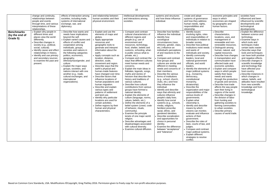|                                                 | change and continuity,<br>relationships between<br>people and events<br>through time, and various<br>interpretations of these<br>relationships.                                                                                                                                                                         | effects of interaction among<br>societies, including trade,<br>systems of international<br>exchange, war, and<br>diplomacy.                                                                                                                                                                                                                                                                                                                                                                        | and relationship between<br>human societies and their<br>physical environment.                                                                                                                                                                                                                                                                                                                                                                                                                                                                                                                                                                                                                                                              | intellectual developments<br>and interactions among<br>societies.                                                                                                                                                                                                                                                                                                                                                                                                                                                                                                                                                                                                                                                                                                                                                                                                                                                                                                                                             | systems and structures<br>and how these influence<br>individual.                                                                                                                                                                                                                                                                                                                                                                                                                                                                                                                                                                                                                                                                                                                                                                                                                                                              | create and adopt<br>systems of governance<br>and how they address<br>human needs, rights,<br>responsibilities and<br>citizenship.                                                                                                                                                                                                                                                                                                                                                                                                                                                                                                                                                                                                                                                                                                                                                                                                                      | economic principles and<br>ways in which<br>economies are shaped<br>by geographic and<br>human factors.                                                                                                                                                                                                                                                                                                                                                                                                                                                                                                                                                                                                                                                             | societies have<br>influenced and been<br>influenced by scientific<br>developments and<br>technological<br>developments.                                                                                                                                                                                                                                                                                                                                                                                                                  |
|-------------------------------------------------|-------------------------------------------------------------------------------------------------------------------------------------------------------------------------------------------------------------------------------------------------------------------------------------------------------------------------|----------------------------------------------------------------------------------------------------------------------------------------------------------------------------------------------------------------------------------------------------------------------------------------------------------------------------------------------------------------------------------------------------------------------------------------------------------------------------------------------------|---------------------------------------------------------------------------------------------------------------------------------------------------------------------------------------------------------------------------------------------------------------------------------------------------------------------------------------------------------------------------------------------------------------------------------------------------------------------------------------------------------------------------------------------------------------------------------------------------------------------------------------------------------------------------------------------------------------------------------------------|---------------------------------------------------------------------------------------------------------------------------------------------------------------------------------------------------------------------------------------------------------------------------------------------------------------------------------------------------------------------------------------------------------------------------------------------------------------------------------------------------------------------------------------------------------------------------------------------------------------------------------------------------------------------------------------------------------------------------------------------------------------------------------------------------------------------------------------------------------------------------------------------------------------------------------------------------------------------------------------------------------------|-------------------------------------------------------------------------------------------------------------------------------------------------------------------------------------------------------------------------------------------------------------------------------------------------------------------------------------------------------------------------------------------------------------------------------------------------------------------------------------------------------------------------------------------------------------------------------------------------------------------------------------------------------------------------------------------------------------------------------------------------------------------------------------------------------------------------------------------------------------------------------------------------------------------------------|--------------------------------------------------------------------------------------------------------------------------------------------------------------------------------------------------------------------------------------------------------------------------------------------------------------------------------------------------------------------------------------------------------------------------------------------------------------------------------------------------------------------------------------------------------------------------------------------------------------------------------------------------------------------------------------------------------------------------------------------------------------------------------------------------------------------------------------------------------------------------------------------------------------------------------------------------------|---------------------------------------------------------------------------------------------------------------------------------------------------------------------------------------------------------------------------------------------------------------------------------------------------------------------------------------------------------------------------------------------------------------------------------------------------------------------------------------------------------------------------------------------------------------------------------------------------------------------------------------------------------------------------------------------------------------------------------------------------------------------|------------------------------------------------------------------------------------------------------------------------------------------------------------------------------------------------------------------------------------------------------------------------------------------------------------------------------------------------------------------------------------------------------------------------------------------------------------------------------------------------------------------------------------------|
| <b>Benchmarks</b><br>(by the end of<br>Grade 5) | Explain why people in<br>different times and<br>places view the world<br>differently.<br>Describe changes in<br>society (e.g., political,<br>social, cultural).<br>Identify cause and effect<br>relationships in history.<br>· Identify and use primary<br>and secondary sources<br>to examine the past and<br>present. | • Describe how wants and<br>needs have implications<br>beyond the self.<br>• Explain varied causes and<br>effects of conflict and<br>cooperation among<br>individuals, groups,<br>societies and nations in<br>the following categories:<br>politics, economics,<br>geography,<br>ethnicity/race/gender, and<br>culture.<br>• Explain the major ways<br>groups, societies, and<br>nations interact with one<br>another (e.g., trade,<br>cultural exchanges, and<br>international<br>organizations). | • Explain and use the<br>elements of maps and<br>globes.<br>• Apply appropriate<br>resources and<br>geographic tools to<br>generate and interpret<br>information about the<br>earth.<br>• Apply concepts such as<br>location, distance,<br>direction, scale,<br>movement and region.<br>• Describe ways that the<br>earth's physical and<br>human-made features<br>have changed over time.<br>• Describe factors that<br>influence locations of<br>human populations and<br>human migration.<br>• Describe and explain<br>various types and<br>patterns of settlement<br>and land use.<br>• Identify why particular<br>locations are used for<br>certain activities.<br>• Define regions by their<br>human and physical<br>characteristics. | Compare and contrast<br>cultural characteristics of<br>different regions and<br>people (e.g. use of<br>environment and<br>resources, technology,<br>food, shelter, beliefs and<br>customs, schooling, what-<br>is-public versus what-is-<br>private, etc.).<br>Compare and contrast the<br>ways that different cultures<br>meet human needs and<br>concerns.<br>Explain the main ideas in<br>folktales, legends, songs,<br>myths and stories of<br>heroism that describe the<br>history and traditions of<br>various cultures.<br>Describe how cultural<br>contributions from various<br>groups have formed a<br>national identity.<br>Explain the elements of<br>culture (language, norms,<br>values, beliefs, etc.).<br>Define the elements of a<br>belief system (creed, code<br>of behavior, rituals,<br>community).<br>Examine the principle<br>tenets of one major world<br>religion.<br>Describe advantages and<br>disadvantages associated<br>with cultural diversity.<br>Examine cultural diffusion. | Describe how families<br>influence the individual.<br>• Identify how<br>sociological<br>circumstances (race,<br>ethnicity, gender, class,<br>etc.) influence an<br>individual's perceptions<br>of and reactions to the<br>world.<br>Compare and contrast<br>how groups and<br>cultures are similar and<br>different in meeting<br>needs and concerns of<br>their members.<br>Describe the various<br>forms of institutions<br>(e.g., school, church,<br>clubs, etc.) and how<br>they influence the<br>individual.<br>Identify and describe<br>ways that ethnicity and<br>cultures influence<br>people's daily lives.<br>Identify how social<br>systems (e.g., schools,<br>media, religions,<br>families) prescribe<br>racial, ethnic, and<br>gendered identities.<br>Describe socialization<br>and opportunities for<br>choice in personal<br>identity.<br>Examine the difference<br>between "acceptance"<br>and "tolerance". | • Identify issues<br>involving rights, roles<br>and responsibilities of<br>individuals in relation to<br>broader society.<br>Describe how political<br>institutions meet needs<br>and wants of<br>individuals and society.<br>• Identify community<br>leaders, local and<br>national government<br>officials, and world<br>leaders.<br>Identify the elements of<br>major political systems<br>(e.g., monarchy,<br>democracy,<br>constitutional<br>monarchy,<br>dictatorship).<br>• Describe the<br>organization and major<br>responsibilities of the<br>various levels of<br>governments.<br>• Explain what<br>citizenship is.<br>• Identify and describe<br>means by which<br>citizens can monitor,<br>evaluate and influence<br>actions of their<br>government.<br>• Describe the roles of<br>laws, courts of law, and<br>judges.<br>• Compare and contrast<br>major political systems.<br>• Explain different<br>strategies to resolve<br>conflict. | • Describe<br>characteristics,<br>locations, uses, and<br>management of<br>renewable and non-<br>renewable resources.<br>Distinguish among<br>human, natural, and<br>capital resources.<br>• Describe how changes<br>in transportation and<br>communication have<br>affected trade and<br>economic activities.<br><b>Explain and compare</b><br>ways in which people<br>satisfy their basic<br>needs and wants<br>through the production<br>of goods and services.<br>• Describe how trade<br>affects the way people<br>earn their living in<br>regions of the world.<br>• Describe changes in<br>the division of labor<br>from hunting and<br>gathering societies to<br>farming communities<br>to urban societies.<br>• Describe primary<br>causes of world trade. | Explain the difference<br>between science and<br>technology.<br>Examine ways in<br>which tools and<br>techniques make<br>certain tasks easier.<br>Describe ways that<br>tools and techniques<br>can have both positive<br>and negative effects.<br>Describe changes in<br>scientific knowledge<br>and technology that<br>have affected your<br>host country.<br>Describe instances in<br>which changes in<br>values, beliefs, and<br>attitudes have resulted<br>from new scientific<br>knowledge and from<br>technological<br>knowledge. |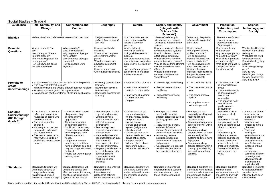**Social Studies – Grade 4**

| <b>Guidelines</b>                                                   | 91 GWV 7<br>Time, Continuity, and<br>Change                                                                                                                                                                                                                                                                                | <b>Connections and</b><br><b>Conflict</b>                                                                                                                                                                                                                                                                                                                                                                        | Geography                                                                                                                                                                                                                                                                                                                                                                                                                                                                       | <b>Culture</b>                                                                                                                                                                                                                                                                                                                                                          | <b>Society and Identity</b><br>(Integrate with<br><b>Science 'Life</b><br>Sciences')                                                                                                                                                                                                                                                                                                                                         | <b>Government</b>                                                                                                                                                                                                                                                                                                                                                                                     | Production,<br>Distribution, and<br><b>Consumption</b>                                                                                                                                                                                                                                                                                                 | Science,<br>Technology, and<br><b>Society</b>                                                                                                                                                                                                                                                                                                                                                     |
|---------------------------------------------------------------------|----------------------------------------------------------------------------------------------------------------------------------------------------------------------------------------------------------------------------------------------------------------------------------------------------------------------------|------------------------------------------------------------------------------------------------------------------------------------------------------------------------------------------------------------------------------------------------------------------------------------------------------------------------------------------------------------------------------------------------------------------|---------------------------------------------------------------------------------------------------------------------------------------------------------------------------------------------------------------------------------------------------------------------------------------------------------------------------------------------------------------------------------------------------------------------------------------------------------------------------------|-------------------------------------------------------------------------------------------------------------------------------------------------------------------------------------------------------------------------------------------------------------------------------------------------------------------------------------------------------------------------|------------------------------------------------------------------------------------------------------------------------------------------------------------------------------------------------------------------------------------------------------------------------------------------------------------------------------------------------------------------------------------------------------------------------------|-------------------------------------------------------------------------------------------------------------------------------------------------------------------------------------------------------------------------------------------------------------------------------------------------------------------------------------------------------------------------------------------------------|--------------------------------------------------------------------------------------------------------------------------------------------------------------------------------------------------------------------------------------------------------------------------------------------------------------------------------------------------------|---------------------------------------------------------------------------------------------------------------------------------------------------------------------------------------------------------------------------------------------------------------------------------------------------------------------------------------------------------------------------------------------------|
| <b>Big Idea</b>                                                     | Beliefs, rituals and celebrations have evolved over time.                                                                                                                                                                                                                                                                  |                                                                                                                                                                                                                                                                                                                                                                                                                  | Navigation techniques<br>and aids have changed<br>over time                                                                                                                                                                                                                                                                                                                                                                                                                     | $\overline{In}$ a community, people<br>share a responsibility<br>toward a common<br>purpose.                                                                                                                                                                                                                                                                            | Personal well-being is<br>dependent on a complex<br>balance of interconnected<br>factors.                                                                                                                                                                                                                                                                                                                                    | Democracy. People can<br>influence decisions that<br>affect them.                                                                                                                                                                                                                                                                                                                                     | There is a relationship<br>between place of<br>production and place<br>of consumption                                                                                                                                                                                                                                                                  |                                                                                                                                                                                                                                                                                                                                                                                                   |
| <b>Essential</b><br><b>Questions</b>                                | What is meant by "the<br>past?"<br>How is the past different<br>from the present?<br>Why is knowing about the<br>past important?<br>How is knowledge about<br>the past preserved?                                                                                                                                          | What is conflict?<br>What is cooperation?<br>Why do groups of people<br>have conflict?<br>Why do groups of people<br>cooperate?<br>How can people work<br>together?                                                                                                                                                                                                                                              | How can location be<br>explained?<br>What makes one place<br>different from another<br>place?<br>Why does someone's<br>physical environment<br>matter?<br>How can you explain<br>where a place is located?                                                                                                                                                                                                                                                                      | What is culture?<br>How is it possible to<br>distinguish between two<br>cultures?<br>How does someone know<br>how to behave, even when<br>that person is not told how<br>to?<br>How do different groups of<br>people living in one place<br>influence a culture?                                                                                                        | How are individuals affected<br>by different social systems?<br>How do different cultures<br>affect people differently?<br>What institutions have the<br>greatest impact on people?<br>Why do people from different<br>cultures sometimes seem<br>different?<br>What is the difference<br>between "tolerance" and<br>"acceptance"?                                                                                           | What is power?<br>How is power gained,<br>justified, and used?<br>How do competing<br>interests influence how<br>power is distributed?<br>How does government<br>affect people's lives?<br>What are the more<br>important responsibilities<br>that people have toward<br>their government?                                                                                                            | Why do people buy<br>what they do?<br>Why cannot people buy<br>whatever they want?<br>What kinds of products<br>are made locally?<br>What kinds are made in<br>other places? How<br>does trade work?                                                                                                                                                   | What is the difference<br>between a tool and a<br>technique?<br>What does the word<br>technology mean?<br>Does technology help<br>people?<br>Is technology always<br>good?<br>How do new<br>technologies change<br>the way people live?<br>How they think?                                                                                                                                        |
| <b>Prompts to</b><br>create<br>understandings                       | • The history of different religions<br>• How holidays have grown out of past events<br>• A comparison of different family rituals and celebrations                                                                                                                                                                        | • Compare/contrast life in the past with life in the present.<br>• What is the same and what is different between religions                                                                                                                                                                                                                                                                                      | How early travelers found<br>their way<br><b>How modern travelers</b><br>find their way<br>How space travelers find<br>their way                                                                                                                                                                                                                                                                                                                                                | • Purpose of a community<br>• Interconnectedness of<br>people in a community<br>• Importance of a shared<br>vision or common<br>purpose                                                                                                                                                                                                                                 | • The concept of well-being<br>• Factors that contribute to<br>well-being<br>Personal issues facing<br>well-being                                                                                                                                                                                                                                                                                                            | The concept of policy<br>• The concept of popular<br>vote<br>The power of mass<br>opinion<br>Appropriate ways to<br>voice disapproval                                                                                                                                                                                                                                                                 | • The means and cost<br>of transportation of<br>goods<br>• The interrelationship<br>of developing and<br>developed<br>economies<br>• The impact of work<br>conditions on<br>production and<br>consumption                                                                                                                                              |                                                                                                                                                                                                                                                                                                                                                                                                   |
| <b>Enduring</b><br><b>Understandings</b><br>(KG through<br>Grade 5) | • The past is a broad term<br>referring to events that<br>happened or people who<br>lived before now.<br>• The past cannot be<br>changed.<br>• Knowing about the past<br>helps us to understand<br>the present better.<br>• The past is preserved in<br>many ways, including in<br>stories and in tales of folk<br>heroes. | Conflict is when people<br>disagree and they<br>become angry or<br>aggressive.<br>Cooperation is when<br>people work together.<br>Conflict occurs for many<br>reasons, but essentially<br>because people have<br>different wants and<br>needs.<br>Cooperation is when<br>people agree that they<br>have a common goal and<br>they work together toward<br>that goal.<br>People can work together<br>in many ways | People depend on their<br>physical environment.<br>• Different physical<br>environments influence<br>different cultures in<br>distinct ways.<br>People adapt their<br>physical environments in<br>different ways.<br>Maps and globes and<br>geographical techniques<br>help people to<br>understand better their<br>physical environment.<br>Regions typically refer to<br>areas of the globe with<br>common physical<br>characteristics and<br>which are in near<br>proximity. | • Culture refers to the<br>common language,<br>norms, values, beliefs,<br>and practices of a<br>distinct people.<br>Culture and a belief<br>system (religion) are<br>closely related.<br>• Culture satisfies basic<br>human needs, such as a<br>sense of belonging.<br>• Peoples' actions<br>influence their culture;<br>someone's culture<br>influences their actions. | Every person can be<br>described in terms of<br>different categories such as<br>ethnicity, gender, and<br>class.<br>Race, ethnicity, gender,<br>and class influence<br>someone's perceptions of<br>and reactions to the world.<br>In a society, various<br>institutions shape and<br>reinforce social structures<br>and patterns.<br>"Socialization" is a process<br>that teaches people how<br>their society is structured. | • Every person has<br>certain rights within and<br>responsibilities to<br>broader society.<br>• Governments are major<br>sources of power within<br>a society.<br>Governments have<br>different forms; all have<br>leaders and judicial<br>systems and most have<br>legislatures.<br>Governments help<br>provide stability within a<br>country by establishing<br>laws and by resolving<br>conflicts. | • People have wants<br>and needs, which<br>differ.<br>People have limited<br>resources and must<br>make decisions about<br>what to produce or<br>buy.<br>People engage in<br>different economic<br>activities and trade to<br>acquire goods and<br>services they do not<br>produce themselves.<br>Trade can be local or<br>extend around the<br>world. | • A tool is a material<br>object used to<br>make a job easier<br>whereas a<br>technique is a<br>process to make a<br>job easier.<br>Tools and<br>techniques<br>generally make our<br>lives easier but<br>sometimes can be<br>used for harmful<br>purposes or have<br>harmful<br>consequences.<br>Science is a field of<br>knowledge that<br>allows humans to<br>understand the<br>physical world. |
| <b>Standards</b>                                                    | <b>Standard 1 Students will</b><br>understand patterns of<br>change and continuity,<br>relationships between<br>people and events through                                                                                                                                                                                  | <b>Standard 2 Students will</b><br>understand causes and<br>effects of interaction among<br>societies, including trade,<br>systems of international                                                                                                                                                                                                                                                              | <b>Standard 3 Students will</b><br>understand the<br>interactions and<br>relationship between<br>human societies and their                                                                                                                                                                                                                                                                                                                                                      | <b>Standard 4 Students will</b><br>understand cultural and<br>intellectual developments<br>and interactions among<br>societies.                                                                                                                                                                                                                                         | <b>Standard 5 Students will</b><br>understand social systems<br>and structures and how<br>these influence individual.                                                                                                                                                                                                                                                                                                        | <b>Standard 6 Students will</b><br>understand why societies<br>create and adopt systems<br>of governance and how<br>they address human                                                                                                                                                                                                                                                                | <b>Standard 7 Students</b><br>will understand<br>fundamental economic<br>principles and ways in<br>which economies are                                                                                                                                                                                                                                 | <b>Standard 8 Students</b><br>will understand how<br>societies have<br>influenced and been<br>influenced by                                                                                                                                                                                                                                                                                       |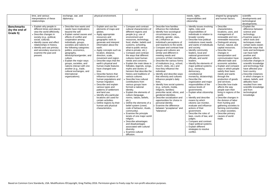|                                                 | time, and various<br>interpretations of these<br>relationships.                                                                                                                                                                                                                                                            | exchange, war, and<br>diplomacy.                                                                                                                                                                                                                                                                                                                                                                                                                                                                   | physical environment.                                                                                                                                                                                                                                                                                                                                                                                                                                                                                                                                                                                                                                                                                                                        |                                                                                                                                                                                                                                                                                                                                                                                                                                                                                                                                                                                                                                                                                                                                                                                                                                                                                                                                                                                                                                                       |                                                                                                                                                                                                                                                                                                                                                                                                                                                                                                                                                                                                                                                                                                                                                                                                                                                                                                           | needs, rights,<br>responsibilities and<br>citizenship.                                                                                                                                                                                                                                                                                                                                                                                                                                                                                                                                                                                                                                                                                                                                                                                                                                                                                 | shaped by geographic<br>and human factors.                                                                                                                                                                                                                                                                                                                                                                                                                                                                                                                                                                                                                                                                                                                               | scientific<br>developments and<br>technological<br>developments.                                                                                                                                                                                                                                                                                                                                                                                                                                                                                         |
|-------------------------------------------------|----------------------------------------------------------------------------------------------------------------------------------------------------------------------------------------------------------------------------------------------------------------------------------------------------------------------------|----------------------------------------------------------------------------------------------------------------------------------------------------------------------------------------------------------------------------------------------------------------------------------------------------------------------------------------------------------------------------------------------------------------------------------------------------------------------------------------------------|----------------------------------------------------------------------------------------------------------------------------------------------------------------------------------------------------------------------------------------------------------------------------------------------------------------------------------------------------------------------------------------------------------------------------------------------------------------------------------------------------------------------------------------------------------------------------------------------------------------------------------------------------------------------------------------------------------------------------------------------|-------------------------------------------------------------------------------------------------------------------------------------------------------------------------------------------------------------------------------------------------------------------------------------------------------------------------------------------------------------------------------------------------------------------------------------------------------------------------------------------------------------------------------------------------------------------------------------------------------------------------------------------------------------------------------------------------------------------------------------------------------------------------------------------------------------------------------------------------------------------------------------------------------------------------------------------------------------------------------------------------------------------------------------------------------|-----------------------------------------------------------------------------------------------------------------------------------------------------------------------------------------------------------------------------------------------------------------------------------------------------------------------------------------------------------------------------------------------------------------------------------------------------------------------------------------------------------------------------------------------------------------------------------------------------------------------------------------------------------------------------------------------------------------------------------------------------------------------------------------------------------------------------------------------------------------------------------------------------------|----------------------------------------------------------------------------------------------------------------------------------------------------------------------------------------------------------------------------------------------------------------------------------------------------------------------------------------------------------------------------------------------------------------------------------------------------------------------------------------------------------------------------------------------------------------------------------------------------------------------------------------------------------------------------------------------------------------------------------------------------------------------------------------------------------------------------------------------------------------------------------------------------------------------------------------|--------------------------------------------------------------------------------------------------------------------------------------------------------------------------------------------------------------------------------------------------------------------------------------------------------------------------------------------------------------------------------------------------------------------------------------------------------------------------------------------------------------------------------------------------------------------------------------------------------------------------------------------------------------------------------------------------------------------------------------------------------------------------|----------------------------------------------------------------------------------------------------------------------------------------------------------------------------------------------------------------------------------------------------------------------------------------------------------------------------------------------------------------------------------------------------------------------------------------------------------------------------------------------------------------------------------------------------------|
| <b>Benchmarks</b><br>(by the end of<br>Grade 5) | • Explain why people in<br>different times and places<br>view the world differently.<br>• Describe changes in<br>society (e.g., political,<br>social, cultural).<br>• Identify cause and effect<br>relationships in history.<br>• Identify and use primary<br>and secondary sources to<br>examine the past and<br>present. | • Describe how wants and<br>needs have implications<br>beyond the self.<br>• Explain varied causes and<br>effects of conflict and<br>cooperation among<br>individuals, groups,<br>societies and nations in<br>the following categories:<br>politics, economics,<br>geography,<br>ethnicity/race/gender, and<br>culture.<br>• Explain the major ways<br>groups, societies, and<br>nations interact with one<br>another (e.g., trade,<br>cultural exchanges, and<br>international<br>organizations). | Explain and use the<br>elements of maps and<br>globes.<br>• Apply appropriate<br>resources and<br>geographic tools to<br>generate and interpret<br>information about the<br>earth.<br>• Apply concepts such as<br>location, distance,<br>direction, scale,<br>movement and region.<br>• Describe ways that the<br>earth's physical and<br>human-made features<br>have changed over<br>time.<br>• Describe factors that<br>influence locations of<br>human populations and<br>human migration.<br>• Describe and explain<br>various types and<br>patterns of settlement<br>and land use.<br>• Identify why particular<br>locations are used for<br>certain activities.<br>• Define regions by their<br>human and physical<br>characteristics. | Compare and contrast<br>cultural characteristics of<br>different regions and<br>people (e.g. use of<br>environment and<br>resources, technology,<br>food, shelter, beliefs and<br>customs, schooling,<br>what-is-public versus<br>what-is-private, etc.).<br>• Compare and contrast<br>the ways that different<br>cultures meet human<br>needs and concerns.<br><b>Explain the main ideas in</b><br>folktales, legends, songs,<br>myths and stories of<br>heroism that describe the<br>history and traditions of<br>various cultures.<br>Describe how cultural<br>contributions from<br>various groups have<br>formed a national<br>identity.<br><b>Explain the elements of</b><br>culture (language,<br>norms, values, beliefs,<br>$etc.$ ).<br>Define the elements of a<br>belief system (creed,<br>code of behavior, rituals,<br>community).<br>• Examine the principle<br>tenets of one major world<br>religion.<br>• Describe advantages<br>and disadvantages<br>associated with cultural<br>diversity.<br><b>Examine cultural</b><br>diffusion. | Describe how families<br>influence the individual.<br>Identify how sociological<br>circumstances (race,<br>ethnicity, gender, class,<br>etc.) influence an<br>individual's perceptions of<br>and reactions to the world.<br>Compare and contrast how<br>groups and cultures are<br>similar and different in<br>meeting needs and<br>concerns of their members.<br>Describe the various forms<br>of institutions (e.g., school,<br>church, clubs, etc.) and<br>how they influence the<br>individual.<br>Identify and describe ways<br>that ethnicity and cultures<br>influence people's daily<br>lives.<br>Identify how social systems<br>(e.g., schools, media,<br>religions, families)<br>prescribe racial, ethnic, and<br>gendered identities.<br>Describe socialization and<br>opportunities for choice in<br>personal identity.<br>Examine the difference<br>between "acceptance" and<br>"tolerance". | · Identify issues involving<br>rights, roles and<br>responsibilities of<br>individuals in relation to<br>broader society.<br>Describe how political<br>institutions meet needs<br>and wants of individuals<br>and society.<br>• Identify community<br>leaders, local and<br>national government<br>officials, and world<br>leaders.<br>Identify the elements of<br>major political systems<br>(e.g., monarchy,<br>democracy,<br>constitutional<br>monarchy, dictatorship).<br>Describe the<br>organization and major<br>responsibilities of the<br>various levels of<br>governments.<br>Explain what citizenship<br>Identify and describe<br>means by which<br>citizens can monitor,<br>evaluate and influence<br>actions of their<br>government.<br>• Describe the roles of<br>laws, courts of law, and<br>judges.<br>• Compare and contrast<br>major political systems.<br>• Explain different<br>strategies to resolve<br>conflict. | Describe<br>characteristics,<br>locations, uses, and<br>management of<br>renewable and non-<br>renewable resources.<br>Distinguish among<br>human, natural, and<br>capital resources.<br>• Describe how<br>changes in<br>transportation and<br>communication have<br>affected trade and<br>economic activities.<br>• Explain and compare<br>ways in which people<br>satisfy their basic<br>needs and wants<br>through the<br>production of goods<br>and services.<br>• Describe how trade<br>affects the way<br>people earn their<br>living in regions of the<br>world.<br>• Describe changes in<br>the division of labor<br>from hunting and<br>gathering societies to<br>farming communities<br>to urban societies.<br>• Describe primary<br>causes of world<br>trade. | <b>Explain the</b><br>difference between<br>science and<br>technology.<br>Examine ways in<br>which tools and<br>techniques make<br>certain tasks easier.<br>Describe ways that<br>tools and techniques<br>can have both<br>positive and<br>negative effects.<br>Describe changes in<br>scientific knowledge<br>and technology that<br>have affected your<br>host country.<br>Describe instances<br>in which changes in<br>values, beliefs, and<br>attitudes have<br>resulted from new<br>scientific knowledge<br>and from<br>technological<br>knowledge. |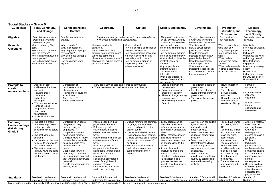#### **Social Studies – Grade 5**

| <b>Guidelines</b>                                                   | Time, Continuity,<br>and Change                                                                                                                                                                                                                                                                                               | <b>Connections and</b><br><b>Conflict</b>                                                                                                                                                                                                                                                                                                                                                                            | Geography                                                                                                                                                                                                                                                                                                                                                                                                                                                                    | <b>Culture</b>                                                                                                                                                                                                                                                                                                                                                      | <b>Society and Identity</b>                                                                                                                                                                                                                                                                                                                                                                                                        | <b>Government</b>                                                                                                                                                                                                                                                                                                                                                                                   | Production,<br>Distribution, and<br><b>Consumption</b>                                                                                                                                                                                                                                                                                                        | Science,<br>Technology,<br>and Society                                                                                                                                                                                                                                                                                                                                                            |
|---------------------------------------------------------------------|-------------------------------------------------------------------------------------------------------------------------------------------------------------------------------------------------------------------------------------------------------------------------------------------------------------------------------|----------------------------------------------------------------------------------------------------------------------------------------------------------------------------------------------------------------------------------------------------------------------------------------------------------------------------------------------------------------------------------------------------------------------|------------------------------------------------------------------------------------------------------------------------------------------------------------------------------------------------------------------------------------------------------------------------------------------------------------------------------------------------------------------------------------------------------------------------------------------------------------------------------|---------------------------------------------------------------------------------------------------------------------------------------------------------------------------------------------------------------------------------------------------------------------------------------------------------------------------------------------------------------------|------------------------------------------------------------------------------------------------------------------------------------------------------------------------------------------------------------------------------------------------------------------------------------------------------------------------------------------------------------------------------------------------------------------------------------|-----------------------------------------------------------------------------------------------------------------------------------------------------------------------------------------------------------------------------------------------------------------------------------------------------------------------------------------------------------------------------------------------------|---------------------------------------------------------------------------------------------------------------------------------------------------------------------------------------------------------------------------------------------------------------------------------------------------------------------------------------------------------------|---------------------------------------------------------------------------------------------------------------------------------------------------------------------------------------------------------------------------------------------------------------------------------------------------------------------------------------------------------------------------------------------------|
| <b>Big Idea</b>                                                     | Past civilizations shape<br>present day systems<br>and technologies                                                                                                                                                                                                                                                           | Revolution as a tool for<br>change.                                                                                                                                                                                                                                                                                                                                                                                  | People form, change, and adapt their communities due to<br>their unique geographical surroundings.                                                                                                                                                                                                                                                                                                                                                                           |                                                                                                                                                                                                                                                                                                                                                                     | The growth cycle impacts<br>on our physical, mental,<br>social and emotional life.                                                                                                                                                                                                                                                                                                                                                 | The type of government a<br>country has affects the<br>quality of life of its citizens                                                                                                                                                                                                                                                                                                              | Free markets are<br>self-regulating                                                                                                                                                                                                                                                                                                                           | <b>Exploration leads to</b><br>discovery                                                                                                                                                                                                                                                                                                                                                          |
| <b>Essential</b><br><b>Questions</b>                                | What is meant by "the<br>past?"<br>How is the past different<br>from the present?<br>Why is knowing about the<br>past important?<br>How is knowledge about<br>the past preserved?                                                                                                                                             | What is conflict?<br>What is cooperation?<br>Why do groups of people<br>have conflict?<br>Why do groups of people<br>cooperate?<br>How can people work<br>together?                                                                                                                                                                                                                                                  | How can location be<br>explained?<br>What makes one place<br>different from another place?<br>Why does someone's<br>physical environment matter?<br>How can you explain where a<br>place is located?                                                                                                                                                                                                                                                                         | What is culture?<br>How is it possible to distinguish<br>between two cultures?<br>How does someone know how<br>to behave, even when that<br>person is not told how to?<br>How do different groups of<br>people living in one place<br>influence a culture?                                                                                                          | How are individuals<br>affected by different social<br>systems?<br>How do different cultures<br>affect people differently?<br>What institutions have the<br>greatest impact on<br>people?<br>Why do people from<br>different cultures<br>sometimes seem<br>different?<br>What is the difference<br>between "tolerance" and<br>"acceptance"?                                                                                        | What is power?<br>How is power gained,<br>justified, and used?<br>How do competing<br>interests influence how<br>power is distributed?<br>How does government<br>affect people's lives?<br>What are the more<br>important responsibilities<br>that people have toward<br>their government?                                                                                                          | Why do people buy<br>what they do?<br>Why cannot people<br>buy whatever they<br>want?<br>What kinds of<br>products are made<br>locally?<br>What kinds are made<br>in other places? How<br>does trade work?                                                                                                                                                    | What is the<br>difference between a<br>tool and a<br>technique?<br>What does the word<br>technology mean?<br>Does technology<br>help people?<br>Is technology always<br>good?<br>How do new<br>technologies change<br>the way people live?<br>How they think?                                                                                                                                     |
| <b>Prompts to</b><br>create<br>understandings                       | • Aspects of past<br>civilizations that have<br>survived<br>Reasons these<br>systems and<br>technologies<br>developed<br>• Why modern societies<br>continue to use<br>adaptations of these<br>systems and<br>technologies<br>• Implications for the<br>future                                                                 | Comparison of<br>revolutions in other<br>places and times<br>• How change occurs after<br>a revolution<br>Case study: The<br><b>American Revolution</b>                                                                                                                                                                                                                                                              | • How geography shapes and reshapes communities<br>• Ways people connect their environment and lifestyle                                                                                                                                                                                                                                                                                                                                                                     |                                                                                                                                                                                                                                                                                                                                                                     | Stages of growth and<br>development<br>Social and emotional<br>pressure of puberty<br>Physical changes during<br>adolescence<br><b>Transitioning to Middle</b><br>School                                                                                                                                                                                                                                                           | • The different models of<br>government<br>• the effect of different<br>levels of transparency in<br>government<br>• The role of the media in<br>politics                                                                                                                                                                                                                                           | How competition<br>works<br>• The balance<br>between quality<br>and cost<br>How a free market<br>economy affects<br>standards of living                                                                                                                                                                                                                       | Forms of<br>exploration<br>Contributions of<br>influential<br>explorers<br>What we learn<br>through<br>exploration and<br>discoveries                                                                                                                                                                                                                                                             |
| <b>Enduring</b><br><b>Understandings</b><br>(KG through<br>Grade 5) | • The past is a broad<br>term referring to events<br>that happened or<br>people who lived before<br>now.<br>• The past cannot be<br>changed.<br>• Knowing about the past<br>helps us to understand<br>the present better.<br>• The past is preserved<br>in many ways, including<br>in stories and in tales of<br>folk heroes. | Conflict is when people<br>disagree and they<br>become angry or<br>aggressive.<br>• Cooperation is when<br>people work together.<br>• Conflict occurs for many<br>reasons, but essentially<br>because people have<br>different wants and<br>needs.<br>Cooperation is when<br>people agree that they<br>have a common goal and<br>they work together toward<br>that goal.<br>People can work together<br>in many ways | People depend on their<br>physical environment.<br>• Different physical<br>environments influence<br>different cultures in distinct<br>ways.<br>People adapt their physical<br>environments in different<br>ways.<br>Maps and globes and<br>geographical techniques<br>help people to understand<br>better their physical<br>environment.<br>Regions typically refer to<br>areas of the globe with<br>common physical<br>characteristics and which<br>are in near proximity. | • Culture refers to the common<br>language, norms, values,<br>beliefs, and practices of a<br>distinct people.<br>• Culture and a belief system<br>(religion) are closely related.<br>• Culture satisfies basic human<br>needs, such as a sense of<br>belonging.<br>• Peoples' actions influence<br>their culture; someone's<br>culture influences their<br>actions. | Every person can be<br>described in terms of<br>different categories such<br>as ethnicity, gender, and<br>class.<br>Race, ethnicity, gender,<br>and class influence<br>someone's perceptions<br>of and reactions to the<br>world.<br>In a society, various<br>institutions shape and<br>reinforce social<br>structures and patterns.<br>"Socialization" is a<br>process that teaches<br>people how their society<br>is structured. | Every person has certain<br>rights within and<br>responsibilities to<br>broader society.<br>· Governments are major<br>sources of power within<br>a society.<br>Governments have<br>different forms; all have<br>leaders and judicial<br>systems and most have<br>legislatures.<br>Governments help<br>provide stability within a<br>country by establishing<br>laws and by resolving<br>conflicts. | People have wants<br>and needs, which<br>differ.<br>• People have limited<br>resources and must<br>make decisions<br>about what to<br>produce or buy.<br>• People engage in<br>different economic<br>activities and trade<br>to acquire goods<br>and services they<br>do not produce<br>themselves.<br>• Trade can be local<br>or extend around<br>the world. | A tool is a material<br>object used to<br>make a job easier<br>whereas a<br>technique is a<br>process to make a<br>job easier.<br>• Tools and<br>techniques<br>generally make<br>our lives easier but<br>sometimes can be<br>used for harmful<br>purposes or have<br>harmful<br>consequences.<br>Science is a field<br>of knowledge that<br>allows humans to<br>understand the<br>physical world. |
| <b>Standards</b>                                                    | <b>Standard 1 Students will</b><br>understand patterns of                                                                                                                                                                                                                                                                     | <b>Standard 2 Students will</b><br>understand causes and                                                                                                                                                                                                                                                                                                                                                             | <b>Standard 3 Students will</b><br>understand the interactions                                                                                                                                                                                                                                                                                                                                                                                                               | <b>Standard 4 Students will</b><br>understand cultural and                                                                                                                                                                                                                                                                                                          | <b>Standard 5 Students will</b><br>understand social systems                                                                                                                                                                                                                                                                                                                                                                       | <b>Standard 6 Students will</b><br>understand why societies                                                                                                                                                                                                                                                                                                                                         | <b>Standard 7 Students</b><br>will understand                                                                                                                                                                                                                                                                                                                 | <b>Standard 8</b><br>Students will                                                                                                                                                                                                                                                                                                                                                                |